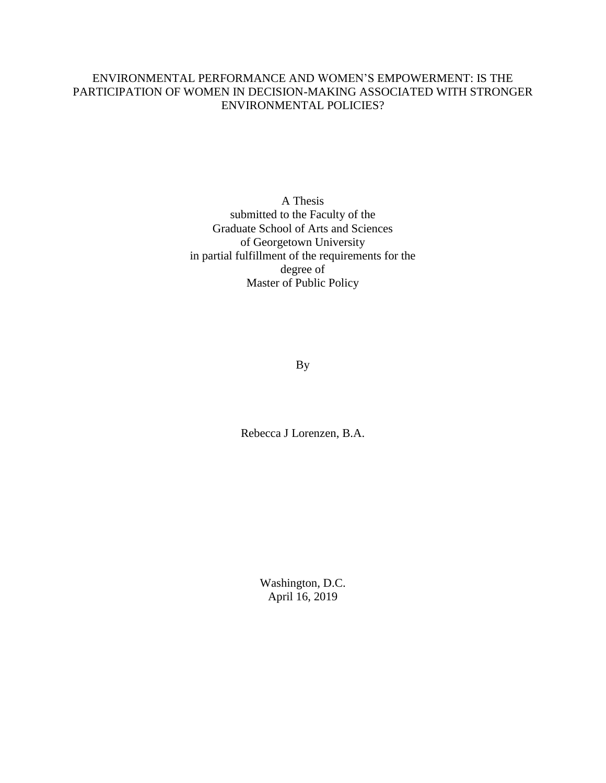## ENVIRONMENTAL PERFORMANCE AND WOMEN'S EMPOWERMENT: IS THE PARTICIPATION OF WOMEN IN DECISION-MAKING ASSOCIATED WITH STRONGER ENVIRONMENTAL POLICIES?

A Thesis submitted to the Faculty of the Graduate School of Arts and Sciences of Georgetown University in partial fulfillment of the requirements for the degree of Master of Public Policy

By

Rebecca J Lorenzen, B.A.

Washington, D.C. April 16, 2019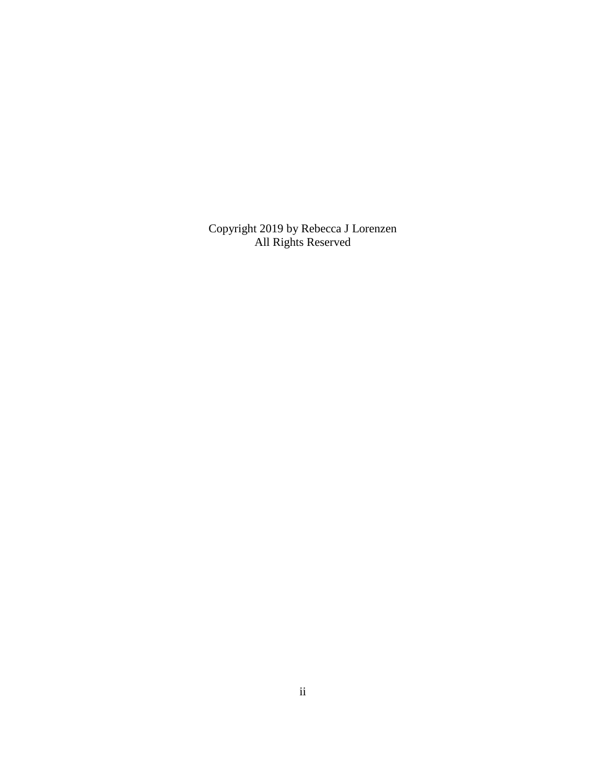Copyright 2019 by Rebecca J Lorenzen All Rights Reserved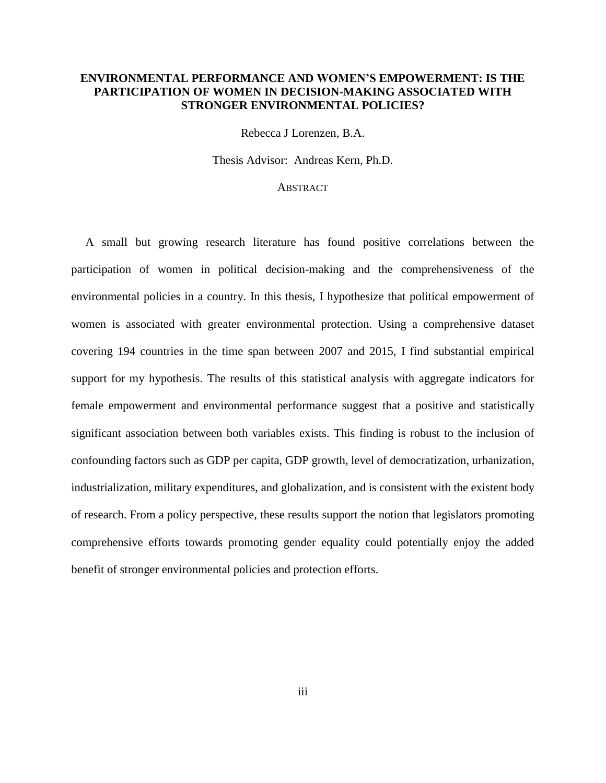### **ENVIRONMENTAL PERFORMANCE AND WOMEN'S EMPOWERMENT: IS THE PARTICIPATION OF WOMEN IN DECISION-MAKING ASSOCIATED WITH STRONGER ENVIRONMENTAL POLICIES?**

Rebecca J Lorenzen, B.A.

Thesis Advisor:Andreas Kern*,* Ph.D.

#### **ABSTRACT**

A small but growing research literature has found positive correlations between the participation of women in political decision-making and the comprehensiveness of the environmental policies in a country. In this thesis, I hypothesize that political empowerment of women is associated with greater environmental protection. Using a comprehensive dataset covering 194 countries in the time span between 2007 and 2015, I find substantial empirical support for my hypothesis. The results of this statistical analysis with aggregate indicators for female empowerment and environmental performance suggest that a positive and statistically significant association between both variables exists. This finding is robust to the inclusion of confounding factors such as GDP per capita, GDP growth, level of democratization, urbanization, industrialization, military expenditures, and globalization, and is consistent with the existent body of research. From a policy perspective, these results support the notion that legislators promoting comprehensive efforts towards promoting gender equality could potentially enjoy the added benefit of stronger environmental policies and protection efforts.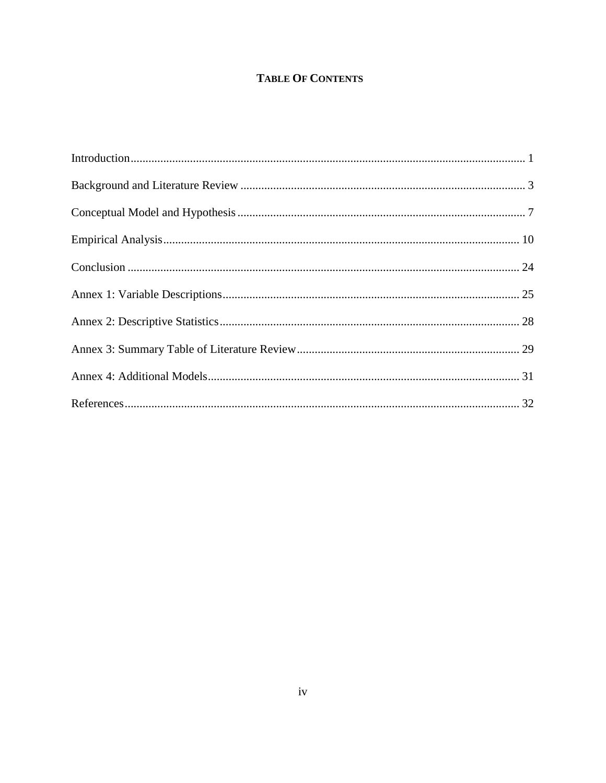# **TABLE OF CONTENTS**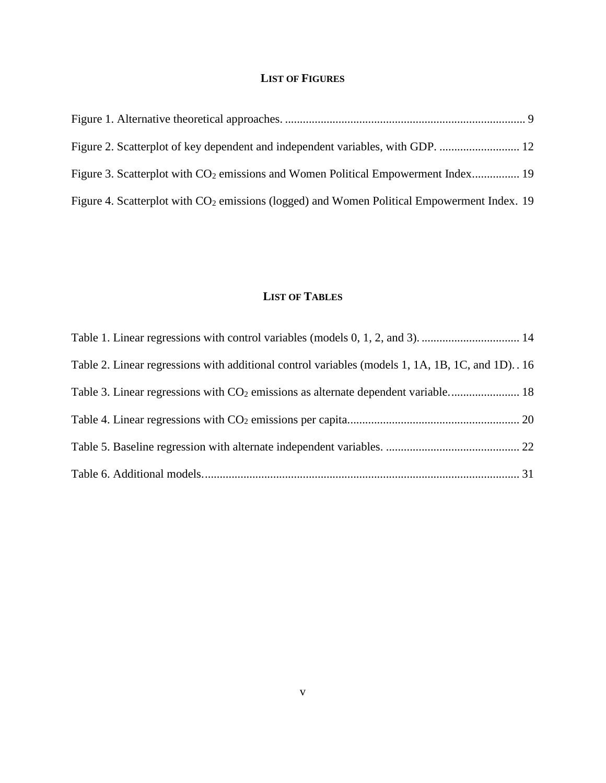## **LIST OF FIGURES**

| Figure 3. Scatterplot with CO <sub>2</sub> emissions and Women Political Empowerment Index 19           |  |
|---------------------------------------------------------------------------------------------------------|--|
| Figure 4. Scatterplot with CO <sub>2</sub> emissions (logged) and Women Political Empowerment Index. 19 |  |

## **LIST OF TABLES**

| Table 2. Linear regressions with additional control variables (models 1, 1A, 1B, 1C, and 1D). 16 |  |
|--------------------------------------------------------------------------------------------------|--|
|                                                                                                  |  |
|                                                                                                  |  |
|                                                                                                  |  |
|                                                                                                  |  |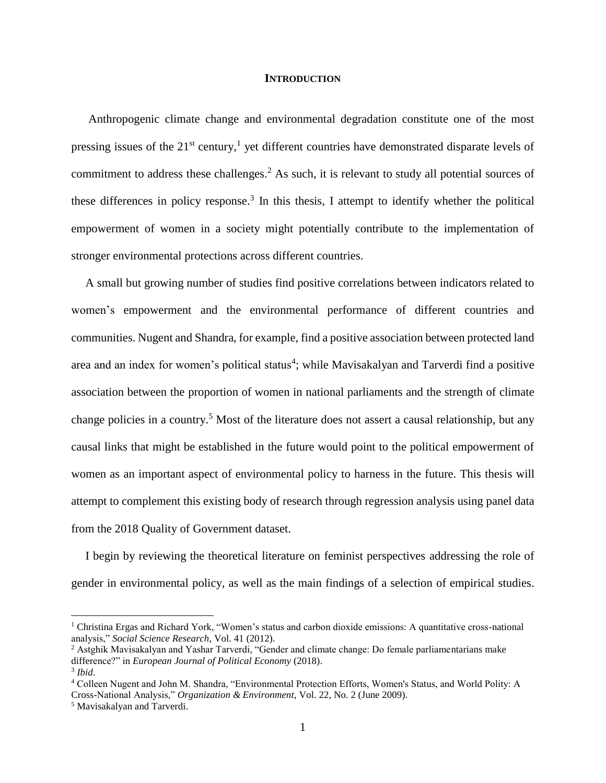#### **INTRODUCTION**

<span id="page-5-0"></span>Anthropogenic climate change and environmental degradation constitute one of the most pressing issues of the  $21^{st}$  century,<sup>1</sup> yet different countries have demonstrated disparate levels of commitment to address these challenges. <sup>2</sup> As such, it is relevant to study all potential sources of these differences in policy response.<sup>3</sup> In this thesis, I attempt to identify whether the political empowerment of women in a society might potentially contribute to the implementation of stronger environmental protections across different countries.

A small but growing number of studies find positive correlations between indicators related to women's empowerment and the environmental performance of different countries and communities. Nugent and Shandra, for example, find a positive association between protected land area and an index for women's political status<sup>4</sup>; while Mavisakalyan and Tarverdi find a positive association between the proportion of women in national parliaments and the strength of climate change policies in a country.<sup>5</sup> Most of the literature does not assert a causal relationship, but any causal links that might be established in the future would point to the political empowerment of women as an important aspect of environmental policy to harness in the future. This thesis will attempt to complement this existing body of research through regression analysis using panel data from the 2018 Quality of Government dataset.

I begin by reviewing the theoretical literature on feminist perspectives addressing the role of gender in environmental policy, as well as the main findings of a selection of empirical studies.

<sup>&</sup>lt;sup>1</sup> Christina Ergas and Richard York, "Women's status and carbon dioxide emissions: A quantitative cross-national analysis," *Social Science Research*, Vol. 41 (2012).

<sup>&</sup>lt;sup>2</sup> Astghik Mavisakalyan and Yashar Tarverdi, "Gender and climate change: Do female parliamentarians make difference?" in *European Journal of Political Economy* (2018). 3 *Ibid*.

<sup>4</sup> Colleen Nugent and John M. Shandra, "Environmental Protection Efforts, Women's Status, and World Polity: A Cross-National Analysis," *Organization & Environment,* Vol. 22, No. 2 (June 2009).

<sup>5</sup> Mavisakalyan and Tarverdi.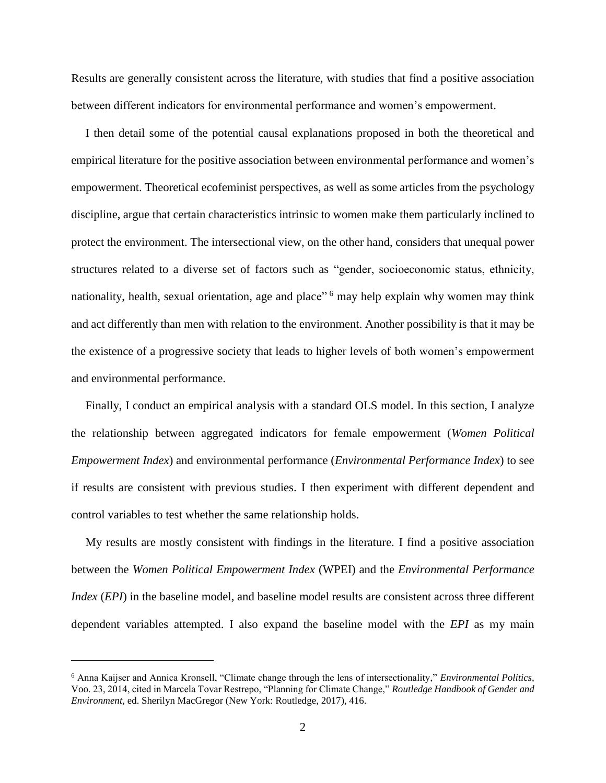Results are generally consistent across the literature, with studies that find a positive association between different indicators for environmental performance and women's empowerment.

I then detail some of the potential causal explanations proposed in both the theoretical and empirical literature for the positive association between environmental performance and women's empowerment. Theoretical ecofeminist perspectives, as well as some articles from the psychology discipline, argue that certain characteristics intrinsic to women make them particularly inclined to protect the environment. The intersectional view, on the other hand, considers that unequal power structures related to a diverse set of factors such as "gender, socioeconomic status, ethnicity, nationality, health, sexual orientation, age and place"<sup>6</sup> may help explain why women may think and act differently than men with relation to the environment. Another possibility is that it may be the existence of a progressive society that leads to higher levels of both women's empowerment and environmental performance.

Finally, I conduct an empirical analysis with a standard OLS model. In this section, I analyze the relationship between aggregated indicators for female empowerment (*Women Political Empowerment Index*) and environmental performance (*Environmental Performance Index*) to see if results are consistent with previous studies. I then experiment with different dependent and control variables to test whether the same relationship holds.

My results are mostly consistent with findings in the literature. I find a positive association between the *Women Political Empowerment Index* (WPEI) and the *Environmental Performance Index* (*EPI*) in the baseline model, and baseline model results are consistent across three different dependent variables attempted. I also expand the baseline model with the *EPI* as my main

<sup>6</sup> Anna Kaijser and Annica Kronsell, "Climate change through the lens of intersectionality," *Environmental Politics*, Voo. 23, 2014, cited in Marcela Tovar Restrepo, "Planning for Climate Change," *Routledge Handbook of Gender and Environment,* ed. Sherilyn MacGregor (New York: Routledge, 2017), 416.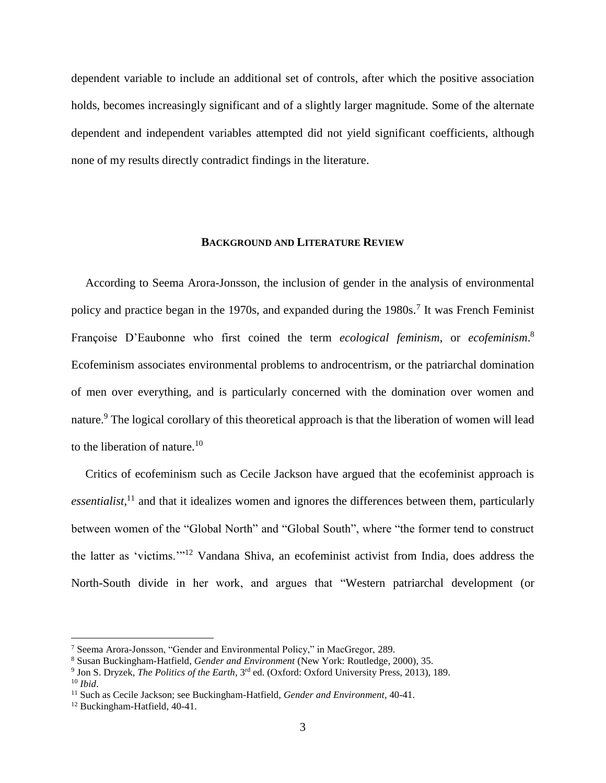dependent variable to include an additional set of controls, after which the positive association holds, becomes increasingly significant and of a slightly larger magnitude. Some of the alternate dependent and independent variables attempted did not yield significant coefficients, although none of my results directly contradict findings in the literature.

#### **BACKGROUND AND LITERATURE REVIEW**

<span id="page-7-0"></span>According to Seema Arora-Jonsson, the inclusion of gender in the analysis of environmental policy and practice began in the 1970s, and expanded during the 1980s.<sup>7</sup> It was French Feminist Françoise D'Eaubonne who first coined the term *ecological feminism*, or *ecofeminism*. 8 Ecofeminism associates environmental problems to androcentrism, or the patriarchal domination of men over everything, and is particularly concerned with the domination over women and nature.<sup>9</sup> The logical corollary of this theoretical approach is that the liberation of women will lead to the liberation of nature.<sup>10</sup>

Critics of ecofeminism such as Cecile Jackson have argued that the ecofeminist approach is *essentialist,*<sup>11</sup> and that it idealizes women and ignores the differences between them, particularly between women of the "Global North" and "Global South", where "the former tend to construct the latter as 'victims.'"<sup>12</sup> Vandana Shiva, an ecofeminist activist from India, does address the North-South divide in her work, and argues that "Western patriarchal development (or

<sup>7</sup> Seema Arora-Jonsson, "Gender and Environmental Policy," in MacGregor, 289.

<sup>8</sup> Susan Buckingham-Hatfield, *Gender and Environment* (New York: Routledge, 2000), 35.

<sup>9</sup> Jon S. Dryzek, *The Politics of the Earth*, 3rd ed. (Oxford: Oxford University Press, 2013), 189. <sup>10</sup> *Ibid*.

<sup>11</sup> Such as Cecile Jackson; see Buckingham-Hatfield, *Gender and Environment*, 40-41.

<sup>12</sup> Buckingham-Hatfield, 40-41.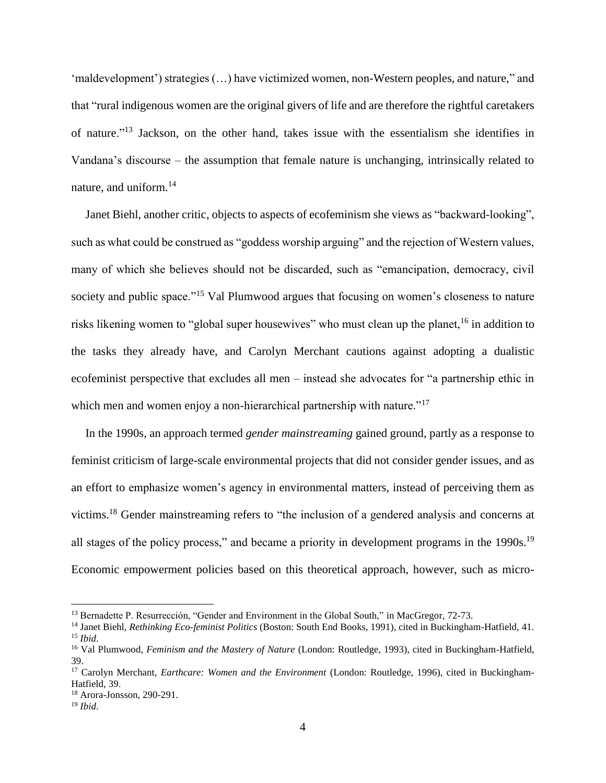'maldevelopment') strategies (…) have victimized women, non-Western peoples, and nature," and that "rural indigenous women are the original givers of life and are therefore the rightful caretakers of nature."<sup>13</sup> Jackson, on the other hand, takes issue with the essentialism she identifies in Vandana's discourse – the assumption that female nature is unchanging, intrinsically related to nature, and uniform.<sup>14</sup>

Janet Biehl, another critic, objects to aspects of ecofeminism she views as "backward-looking", such as what could be construed as "goddess worship arguing" and the rejection of Western values, many of which she believes should not be discarded, such as "emancipation, democracy, civil society and public space."<sup>15</sup> Val Plumwood argues that focusing on women's closeness to nature risks likening women to "global super housewives" who must clean up the planet,<sup>16</sup> in addition to the tasks they already have, and Carolyn Merchant cautions against adopting a dualistic ecofeminist perspective that excludes all men – instead she advocates for "a partnership ethic in which men and women enjoy a non-hierarchical partnership with nature."<sup>17</sup>

In the 1990s, an approach termed *gender mainstreaming* gained ground, partly as a response to feminist criticism of large-scale environmental projects that did not consider gender issues, and as an effort to emphasize women's agency in environmental matters, instead of perceiving them as victims.<sup>18</sup> Gender mainstreaming refers to "the inclusion of a gendered analysis and concerns at all stages of the policy process," and became a priority in development programs in the 1990s.<sup>19</sup> Economic empowerment policies based on this theoretical approach, however, such as micro-

<sup>&</sup>lt;sup>13</sup> Bernadette P. Resurrección, "Gender and Environment in the Global South," in MacGregor, 72-73.

<sup>14</sup> Janet Biehl, *Rethinking Eco-feminist Politics* (Boston: South End Books, 1991), cited in Buckingham-Hatfield, 41. <sup>15</sup> *Ibid*.

<sup>16</sup> Val Plumwood, *Feminism and the Mastery of Nature* (London: Routledge, 1993), cited in Buckingham-Hatfield, 39.

<sup>17</sup> Carolyn Merchant, *Earthcare: Women and the Environment* (London: Routledge, 1996), cited in Buckingham-Hatfield, 39.

<sup>18</sup> Arora-Jonsson, 290-291.

<sup>19</sup> *Ibid*.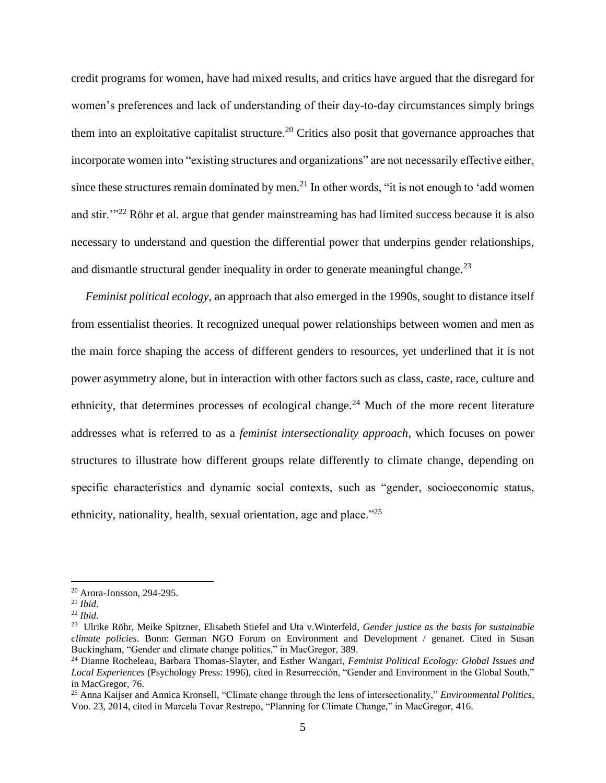credit programs for women, have had mixed results, and critics have argued that the disregard for women's preferences and lack of understanding of their day-to-day circumstances simply brings them into an exploitative capitalist structure.<sup>20</sup> Critics also posit that governance approaches that incorporate women into "existing structures and organizations" are not necessarily effective either, since these structures remain dominated by men.<sup>21</sup> In other words, "it is not enough to 'add women and stir."<sup>22</sup> Röhr et al. argue that gender mainstreaming has had limited success because it is also necessary to understand and question the differential power that underpins gender relationships, and dismantle structural gender inequality in order to generate meaningful change.<sup>23</sup>

*Feminist political ecology*, an approach that also emerged in the 1990s, sought to distance itself from essentialist theories. It recognized unequal power relationships between women and men as the main force shaping the access of different genders to resources, yet underlined that it is not power asymmetry alone, but in interaction with other factors such as class, caste, race, culture and ethnicity, that determines processes of ecological change.<sup>24</sup> Much of the more recent literature addresses what is referred to as a *feminist intersectionality approach*, which focuses on power structures to illustrate how different groups relate differently to climate change, depending on specific characteristics and dynamic social contexts, such as "gender, socioeconomic status, ethnicity, nationality, health, sexual orientation, age and place."<sup>25</sup>

<sup>20</sup> Arora-Jonsson, 294-295.

<sup>21</sup> *Ibid*.

<sup>22</sup> *Ibid*.

<sup>23</sup> Ulrike Röhr, Meike Spitzner, Elisabeth Stiefel and Uta v.Winterfeld, *Gender justice as the basis for sustainable climate policies*. Bonn: German NGO Forum on Environment and Development / genanet. Cited in Susan Buckingham, "Gender and climate change politics," in MacGregor, 389.

<sup>24</sup> Dianne Rocheleau, Barbara Thomas-Slayter, and Esther Wangari, *Feminist Political Ecology: Global Issues and Local Experiences* (Psychology Press: 1996), cited in Resurrección, "Gender and Environment in the Global South," in MacGregor, 76.

<sup>25</sup> Anna Kaijser and Annica Kronsell, "Climate change through the lens of intersectionality," *Environmental Politics*, Voo. 23, 2014, cited in Marcela Tovar Restrepo, "Planning for Climate Change," in MacGregor, 416.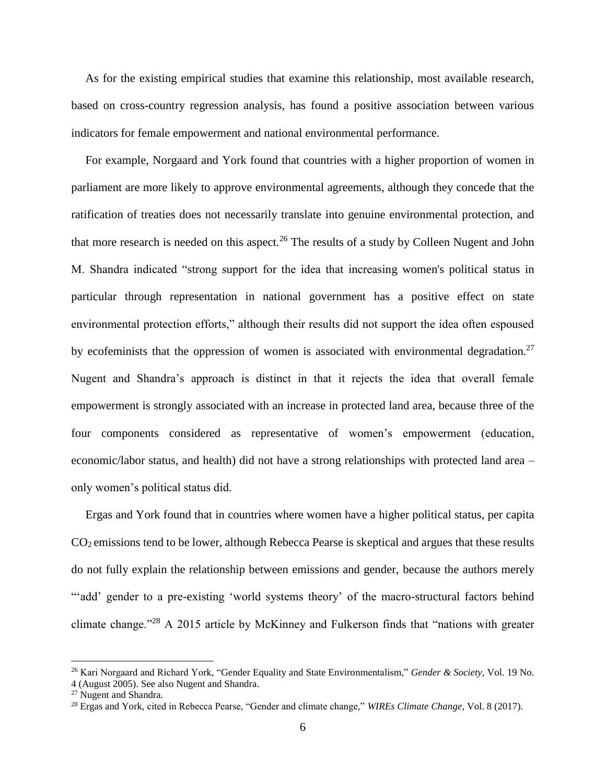As for the existing empirical studies that examine this relationship, most available research, based on cross-country regression analysis, has found a positive association between various indicators for female empowerment and national environmental performance.

For example, Norgaard and York found that countries with a higher proportion of women in parliament are more likely to approve environmental agreements, although they concede that the ratification of treaties does not necessarily translate into genuine environmental protection, and that more research is needed on this aspect.<sup>26</sup> The results of a study by Colleen Nugent and John M. Shandra indicated "strong support for the idea that increasing women's political status in particular through representation in national government has a positive effect on state environmental protection efforts," although their results did not support the idea often espoused by ecofeminists that the oppression of women is associated with environmental degradation.<sup>27</sup> Nugent and Shandra's approach is distinct in that it rejects the idea that overall female empowerment is strongly associated with an increase in protected land area, because three of the four components considered as representative of women's empowerment (education, economic/labor status, and health) did not have a strong relationships with protected land area – only women's political status did.

Ergas and York found that in countries where women have a higher political status, per capita CO2 emissions tend to be lower, although Rebecca Pearse is skeptical and argues that these results do not fully explain the relationship between emissions and gender, because the authors merely "add' gender to a pre-existing 'world systems theory' of the macro-structural factors behind climate change."<sup>28</sup> A 2015 article by McKinney and Fulkerson finds that "nations with greater

<sup>26</sup> Kari Norgaard and Richard York, "Gender Equality and State Environmentalism," *Gender & Society*, Vol. 19 No.

<sup>4 (</sup>August 2005). See also Nugent and Shandra.

<sup>27</sup> Nugent and Shandra*.*

<sup>28</sup> Ergas and York, cited in Rebecca Pearse, "Gender and climate change," *WIREs Climate Change*, Vol. 8 (2017).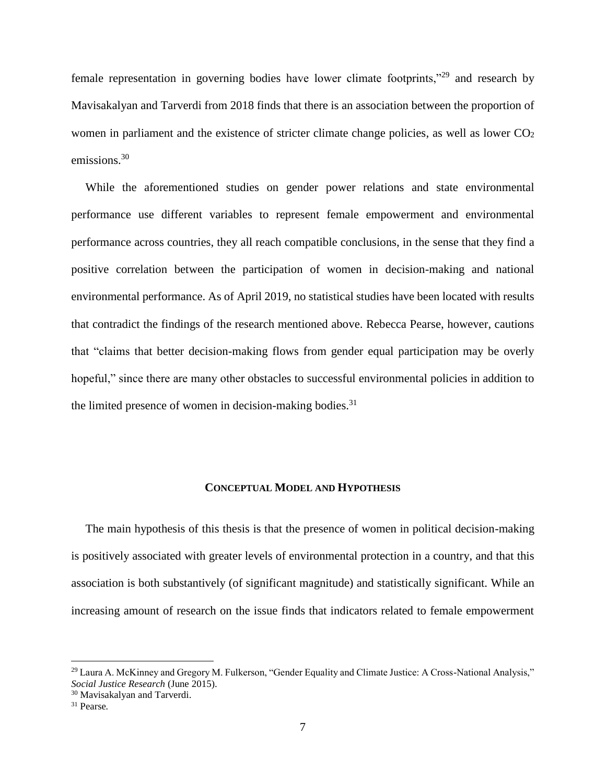female representation in governing bodies have lower climate footprints,"<sup>29</sup> and research by Mavisakalyan and Tarverdi from 2018 finds that there is an association between the proportion of women in parliament and the existence of stricter climate change policies, as well as lower  $CO<sub>2</sub>$ emissions.<sup>30</sup>

While the aforementioned studies on gender power relations and state environmental performance use different variables to represent female empowerment and environmental performance across countries, they all reach compatible conclusions, in the sense that they find a positive correlation between the participation of women in decision-making and national environmental performance. As of April 2019, no statistical studies have been located with results that contradict the findings of the research mentioned above. Rebecca Pearse, however, cautions that "claims that better decision-making flows from gender equal participation may be overly hopeful," since there are many other obstacles to successful environmental policies in addition to the limited presence of women in decision-making bodies. $31$ 

### **CONCEPTUAL MODEL AND HYPOTHESIS**

<span id="page-11-0"></span>The main hypothesis of this thesis is that the presence of women in political decision-making is positively associated with greater levels of environmental protection in a country, and that this association is both substantively (of significant magnitude) and statistically significant. While an increasing amount of research on the issue finds that indicators related to female empowerment

<sup>&</sup>lt;sup>29</sup> Laura A. McKinney and Gregory M. Fulkerson, "Gender Equality and Climate Justice: A Cross-National Analysis," *Social Justice Research* (June 2015).

<sup>30</sup> Mavisakalyan and Tarverdi.

<sup>31</sup> Pearse*.*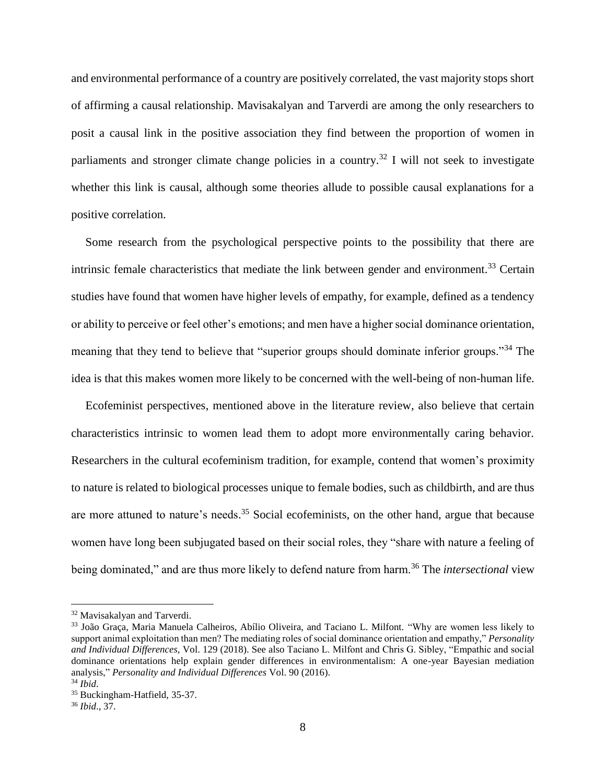and environmental performance of a country are positively correlated, the vast majority stops short of affirming a causal relationship. Mavisakalyan and Tarverdi are among the only researchers to posit a causal link in the positive association they find between the proportion of women in parliaments and stronger climate change policies in a country.<sup>32</sup> I will not seek to investigate whether this link is causal, although some theories allude to possible causal explanations for a positive correlation.

Some research from the psychological perspective points to the possibility that there are intrinsic female characteristics that mediate the link between gender and environment.<sup>33</sup> Certain studies have found that women have higher levels of empathy, for example, defined as a tendency or ability to perceive or feel other's emotions; and men have a higher social dominance orientation, meaning that they tend to believe that "superior groups should dominate inferior groups."<sup>34</sup> The idea is that this makes women more likely to be concerned with the well-being of non-human life.

Ecofeminist perspectives, mentioned above in the literature review, also believe that certain characteristics intrinsic to women lead them to adopt more environmentally caring behavior. Researchers in the cultural ecofeminism tradition, for example, contend that women's proximity to nature is related to biological processes unique to female bodies, such as childbirth, and are thus are more attuned to nature's needs.<sup>35</sup> Social ecofeminists, on the other hand, argue that because women have long been subjugated based on their social roles, they "share with nature a feeling of being dominated," and are thus more likely to defend nature from harm.<sup>36</sup> The *intersectional* view

<sup>32</sup> Mavisakalyan and Tarverdi.

<sup>33</sup> João Graça, Maria Manuela Calheiros, Abílio Oliveira, and Taciano L. Milfont. "Why are women less likely to support animal exploitation than men? The mediating roles of social dominance orientation and empathy," *Personality and Individual Differences,* Vol. 129 (2018). See also Taciano L. Milfont and Chris G. Sibley, "Empathic and social dominance orientations help explain gender differences in environmentalism: A one-year Bayesian mediation analysis," *Personality and Individual Differences* Vol. 90 (2016). <sup>34</sup> *Ibid*.

<sup>35</sup> Buckingham-Hatfield, 35-37.

<sup>36</sup> *Ibid*., 37.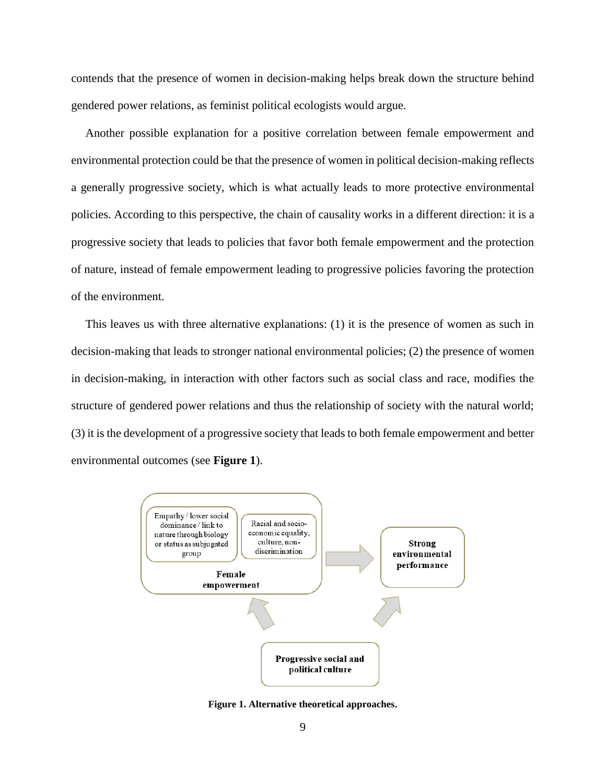contends that the presence of women in decision-making helps break down the structure behind gendered power relations, as feminist political ecologists would argue.

Another possible explanation for a positive correlation between female empowerment and environmental protection could be that the presence of women in political decision-making reflects a generally progressive society, which is what actually leads to more protective environmental policies. According to this perspective, the chain of causality works in a different direction: it is a progressive society that leads to policies that favor both female empowerment and the protection of nature, instead of female empowerment leading to progressive policies favoring the protection of the environment.

This leaves us with three alternative explanations: (1) it is the presence of women as such in decision-making that leads to stronger national environmental policies; (2) the presence of women in decision-making, in interaction with other factors such as social class and race, modifies the structure of gendered power relations and thus the relationship of society with the natural world; (3) it is the development of a progressive society that leads to both female empowerment and better environmental outcomes (see **Figure 1**).



<span id="page-13-0"></span>**Figure 1. Alternative theoretical approaches.**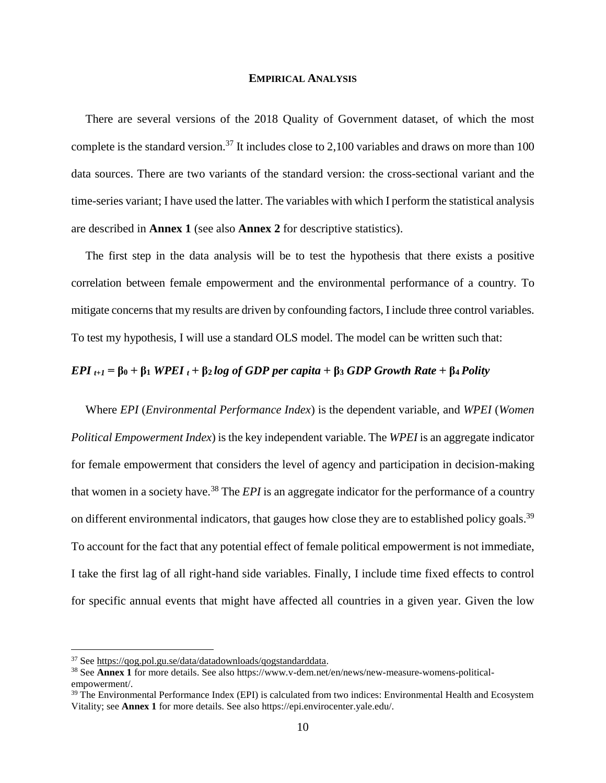#### **EMPIRICAL ANALYSIS**

<span id="page-14-0"></span>There are several versions of the 2018 Quality of Government dataset, of which the most complete is the standard version.<sup>37</sup> It includes close to 2,100 variables and draws on more than 100 data sources. There are two variants of the standard version: the cross-sectional variant and the time-series variant; I have used the latter. The variables with which I perform the statistical analysis are described in **Annex 1** (see also **Annex 2** for descriptive statistics).

The first step in the data analysis will be to test the hypothesis that there exists a positive correlation between female empowerment and the environmental performance of a country. To mitigate concerns that my results are driven by confounding factors, I include three control variables. To test my hypothesis, I will use a standard OLS model. The model can be written such that:

## *EPI t+1* **= β<sup>0</sup> + β<sup>1</sup>** *WPEI <sup>t</sup>* **+ β2** *log of GDP per capita* **+ β<sup>3</sup>** *GDP Growth Rate* **+ β4** *Polity*

Where *EPI* (*Environmental Performance Index*) is the dependent variable, and *WPEI* (*Women Political Empowerment Index*) is the key independent variable. The *WPEI* is an aggregate indicator for female empowerment that considers the level of agency and participation in decision-making that women in a society have.<sup>38</sup> The *EPI* is an aggregate indicator for the performance of a country on different environmental indicators, that gauges how close they are to established policy goals.<sup>39</sup> To account for the fact that any potential effect of female political empowerment is not immediate, I take the first lag of all right-hand side variables. Finally, I include time fixed effects to control for specific annual events that might have affected all countries in a given year. Given the low

<sup>37</sup> See [https://qog.pol.gu.se/data/datadownloads/qogstandarddata.](https://qog.pol.gu.se/data/datadownloads/qogstandarddata)

<sup>38</sup> See **Annex 1** for more details. See also https://www.v-dem.net/en/news/new-measure-womens-politicalempowerment/.

<sup>&</sup>lt;sup>39</sup> The Environmental Performance Index (EPI) is calculated from two indices: Environmental Health and Ecosystem Vitality; see **Annex 1** for more details. See also https://epi.envirocenter.yale.edu/.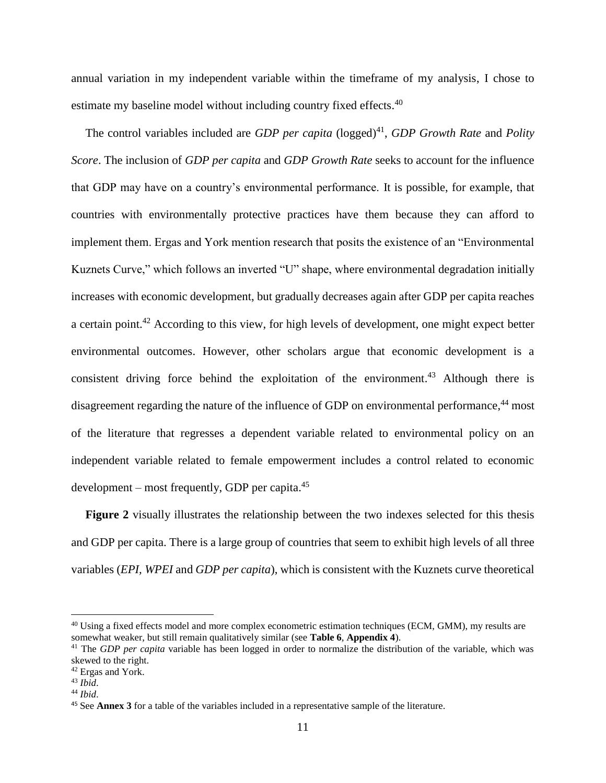annual variation in my independent variable within the timeframe of my analysis, I chose to estimate my baseline model without including country fixed effects.<sup>40</sup>

The control variables included are *GDP per capita* (logged)<sup>41</sup>, *GDP Growth Rate* and *Polity Score*. The inclusion of *GDP per capita* and *GDP Growth Rate* seeks to account for the influence that GDP may have on a country's environmental performance. It is possible, for example, that countries with environmentally protective practices have them because they can afford to implement them. Ergas and York mention research that posits the existence of an "Environmental Kuznets Curve," which follows an inverted "U" shape, where environmental degradation initially increases with economic development, but gradually decreases again after GDP per capita reaches a certain point.<sup>42</sup> According to this view, for high levels of development, one might expect better environmental outcomes. However, other scholars argue that economic development is a consistent driving force behind the exploitation of the environment. <sup>43</sup> Although there is disagreement regarding the nature of the influence of GDP on environmental performance,<sup>44</sup> most of the literature that regresses a dependent variable related to environmental policy on an independent variable related to female empowerment includes a control related to economic development – most frequently, GDP per capita.<sup>45</sup>

**Figure 2** visually illustrates the relationship between the two indexes selected for this thesis and GDP per capita. There is a large group of countries that seem to exhibit high levels of all three variables (*EPI, WPEI* and *GDP per capita*), which is consistent with the Kuznets curve theoretical

<sup>40</sup> Using a fixed effects model and more complex econometric estimation techniques (ECM, GMM), my results are somewhat weaker, but still remain qualitatively similar (see **Table 6**, **Appendix 4**).

<sup>41</sup> The *GDP per capita* variable has been logged in order to normalize the distribution of the variable, which was skewed to the right.

<sup>42</sup> Ergas and York.

<sup>43</sup> *Ibid*.

<sup>44</sup> *Ibid*.

<sup>45</sup> See **Annex 3** for a table of the variables included in a representative sample of the literature.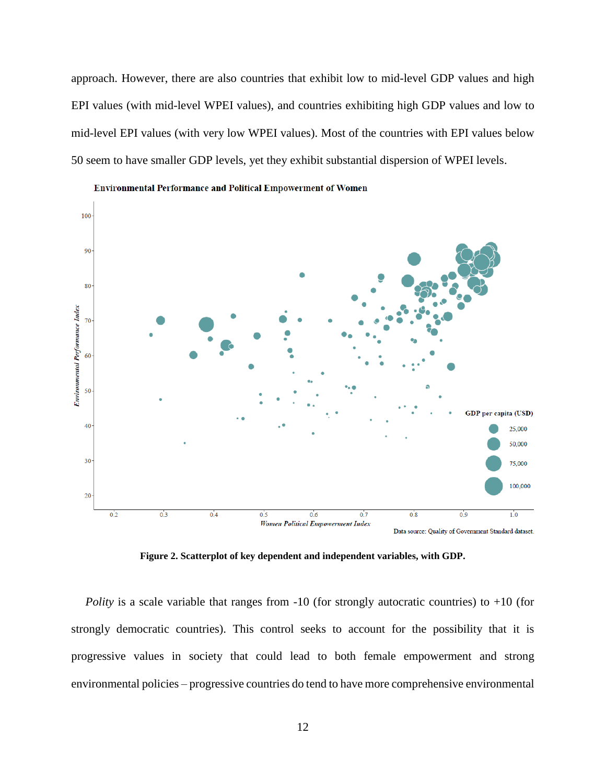approach. However, there are also countries that exhibit low to mid-level GDP values and high EPI values (with mid-level WPEI values), and countries exhibiting high GDP values and low to mid-level EPI values (with very low WPEI values). Most of the countries with EPI values below 50 seem to have smaller GDP levels, yet they exhibit substantial dispersion of WPEI levels.



**Environmental Performance and Political Empowerment of Women** 

**Figure 2. Scatterplot of key dependent and independent variables, with GDP.**

<span id="page-16-0"></span>*Polity* is a scale variable that ranges from -10 (for strongly autocratic countries) to +10 (for strongly democratic countries). This control seeks to account for the possibility that it is progressive values in society that could lead to both female empowerment and strong environmental policies – progressive countries do tend to have more comprehensive environmental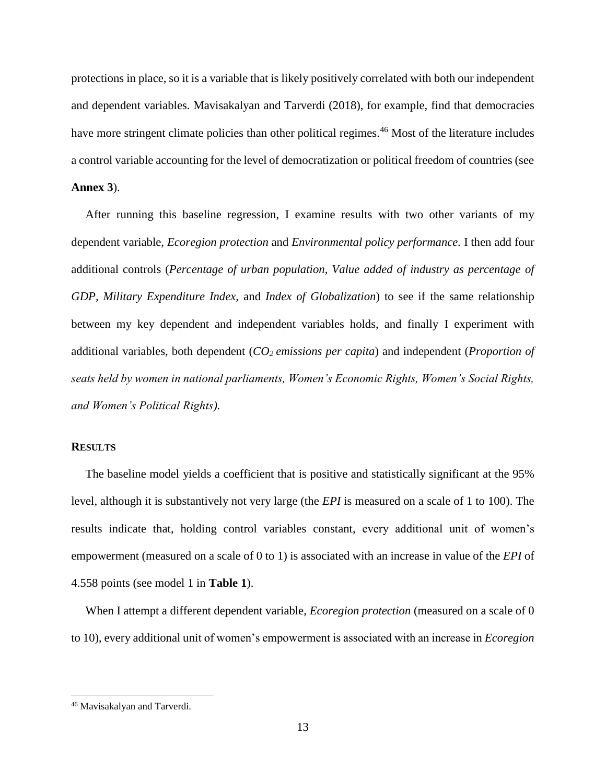protections in place, so it is a variable that is likely positively correlated with both our independent and dependent variables. Mavisakalyan and Tarverdi (2018), for example, find that democracies have more stringent climate policies than other political regimes.<sup>46</sup> Most of the literature includes a control variable accounting for the level of democratization or political freedom of countries (see **Annex 3**).

After running this baseline regression, I examine results with two other variants of my dependent variable, *Ecoregion protection* and *Environmental policy performance.* I then add four additional controls (*Percentage of urban population, Value added of industry as percentage of GDP, Military Expenditure Index,* and *Index of Globalization*) to see if the same relationship between my key dependent and independent variables holds, and finally I experiment with additional variables, both dependent (*CO2 emissions per capita*) and independent (*Proportion of seats held by women in national parliaments, Women's Economic Rights, Women's Social Rights, and Women's Political Rights).*

### **RESULTS**

The baseline model yields a coefficient that is positive and statistically significant at the 95% level, although it is substantively not very large (the *EPI* is measured on a scale of 1 to 100). The results indicate that, holding control variables constant, every additional unit of women's empowerment (measured on a scale of 0 to 1) is associated with an increase in value of the *EPI* of 4.558 points (see model 1 in **Table 1**).

When I attempt a different dependent variable, *Ecoregion protection* (measured on a scale of 0 to 10), every additional unit of women's empowerment is associated with an increase in *Ecoregion* 

<sup>46</sup> Mavisakalyan and Tarverdi*.*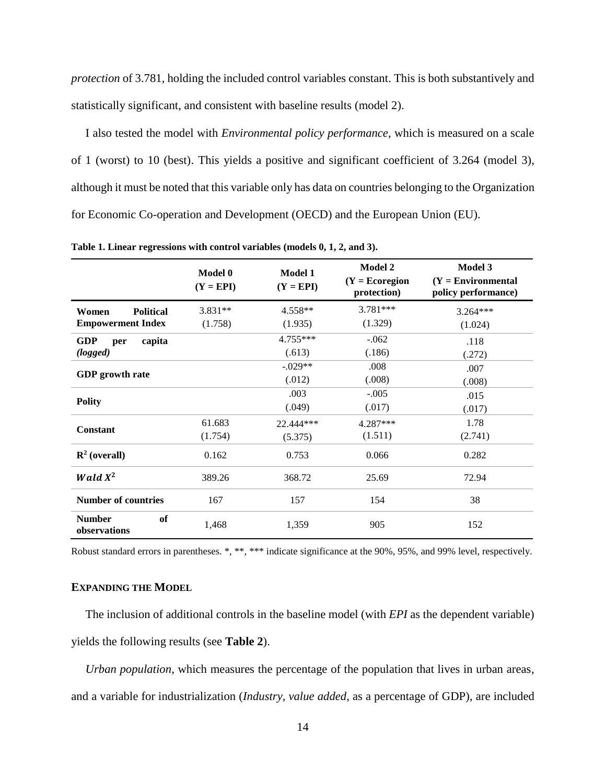*protection* of 3.781, holding the included control variables constant. This is both substantively and statistically significant, and consistent with baseline results (model 2).

I also tested the model with *Environmental policy performance*, which is measured on a scale of 1 (worst) to 10 (best). This yields a positive and significant coefficient of 3.264 (model 3), although it must be noted that this variable only has data on countries belonging to the Organization for Economic Co-operation and Development (OECD) and the European Union (EU).

|                                     | Model 0<br>$(Y = EPI)$ | <b>Model 1</b><br>$(Y = EPI)$ | <b>Model 2</b><br>$(Y = Ecoregion)$<br>protection) | <b>Model 3</b><br>$(Y = Environmenta)$<br>policy performance) |
|-------------------------------------|------------------------|-------------------------------|----------------------------------------------------|---------------------------------------------------------------|
| <b>Political</b><br>Women           | $3.831**$              | 4.558**                       | 3.781***                                           | $3.264***$                                                    |
| <b>Empowerment Index</b>            | (1.758)                | (1.935)                       | (1.329)                                            | (1.024)                                                       |
| <b>GDP</b><br>capita<br>per         |                        | 4.755***                      | $-.062$                                            | .118                                                          |
| (logged)                            |                        | (.613)                        | (.186)                                             | (.272)                                                        |
|                                     |                        | $-.029**$                     | .008                                               | .007                                                          |
| <b>GDP</b> growth rate              |                        | (.012)                        | (.008)                                             | (.008)                                                        |
|                                     |                        | .003                          | $-.005$                                            | .015                                                          |
| <b>Polity</b>                       |                        | (.049)                        | (.017)                                             | (.017)                                                        |
|                                     | 61.683                 | 22.444***                     | 4.287***                                           | 1.78                                                          |
| <b>Constant</b>                     | (1.754)                | (5.375)                       | (1.511)                                            | (2.741)                                                       |
| $\mathbb{R}^2$ (overall)            | 0.162                  | 0.753                         | 0.066                                              | 0.282                                                         |
| <b>Wald</b> $X^2$                   | 389.26                 | 368.72                        | 25.69                                              | 72.94                                                         |
| <b>Number of countries</b>          | 167                    | 157                           | 154                                                | 38                                                            |
| <b>Number</b><br>of<br>observations | 1,468                  | 1,359                         | 905                                                | 152                                                           |

<span id="page-18-0"></span>**Table 1. Linear regressions with control variables (models 0, 1, 2, and 3).**

Robust standard errors in parentheses. \*, \*\*, \*\*\* indicate significance at the 90%, 95%, and 99% level, respectively.

### **EXPANDING THE MODEL**

The inclusion of additional controls in the baseline model (with *EPI* as the dependent variable) yields the following results (see **Table 2**).

*Urban population*, which measures the percentage of the population that lives in urban areas, and a variable for industrialization (*Industry, value added*, as a percentage of GDP), are included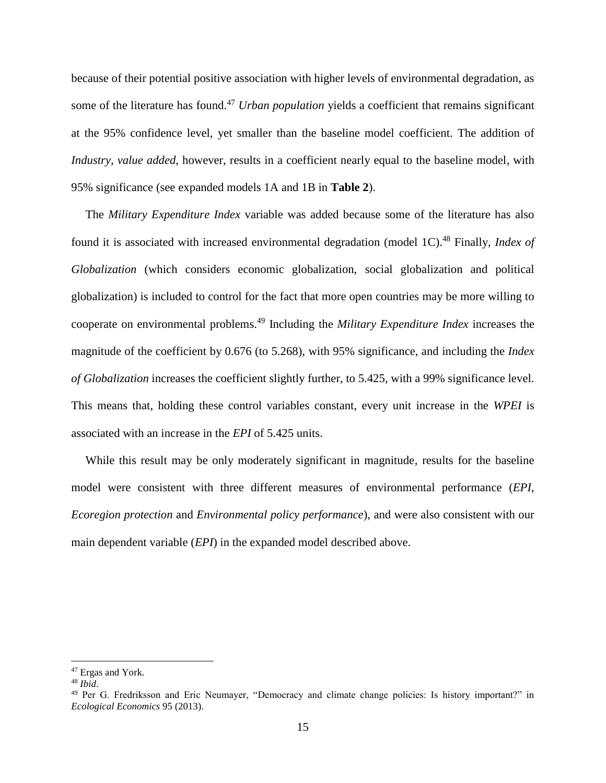because of their potential positive association with higher levels of environmental degradation, as some of the literature has found. <sup>47</sup> *Urban population* yields a coefficient that remains significant at the 95% confidence level, yet smaller than the baseline model coefficient. The addition of *Industry, value added*, however, results in a coefficient nearly equal to the baseline model, with 95% significance (see expanded models 1A and 1B in **Table 2**).

The *Military Expenditure Index* variable was added because some of the literature has also found it is associated with increased environmental degradation (model 1C). <sup>48</sup> Finally, *Index of Globalization* (which considers economic globalization, social globalization and political globalization) is included to control for the fact that more open countries may be more willing to cooperate on environmental problems.<sup>49</sup> Including the *Military Expenditure Index* increases the magnitude of the coefficient by 0.676 (to 5.268), with 95% significance, and including the *Index of Globalization* increases the coefficient slightly further, to 5.425, with a 99% significance level. This means that, holding these control variables constant, every unit increase in the *WPEI* is associated with an increase in the *EPI* of 5.425 units.

While this result may be only moderately significant in magnitude, results for the baseline model were consistent with three different measures of environmental performance (*EPI, Ecoregion protection* and *Environmental policy performance*), and were also consistent with our main dependent variable (*EPI*) in the expanded model described above.

<sup>47</sup> Ergas and York*.*

<sup>48</sup> *Ibid*.

<sup>&</sup>lt;sup>49</sup> Per G. Fredriksson and Eric Neumayer, "Democracy and climate change policies: Is history important?" in *Ecological Economics* 95 (2013).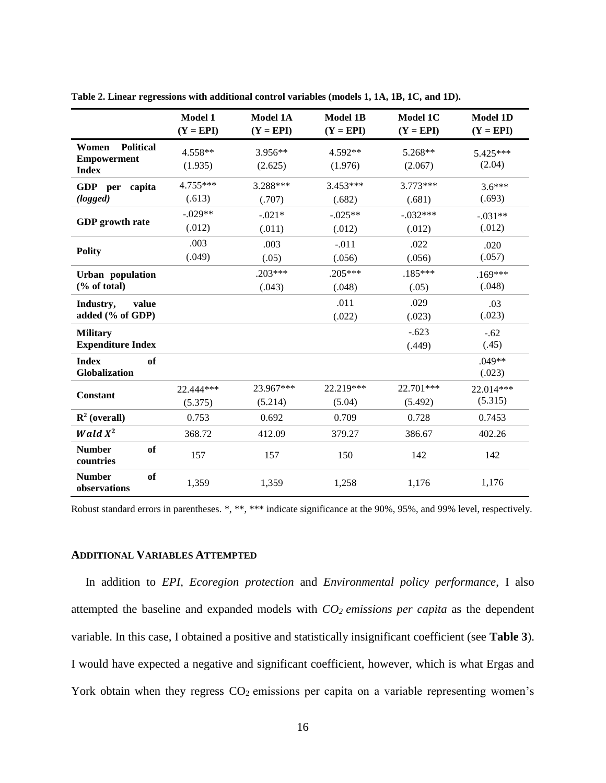|                                                                 | Model 1<br>$(Y = EPI)$ | <b>Model 1A</b><br>$(Y = EPI)$ | <b>Model 1B</b><br>$(Y = EPI)$ | Model 1C<br>$(Y = EPI)$ | <b>Model 1D</b><br>$(Y = EPI)$ |
|-----------------------------------------------------------------|------------------------|--------------------------------|--------------------------------|-------------------------|--------------------------------|
| <b>Political</b><br>Women<br><b>Empowerment</b><br><b>Index</b> | 4.558**<br>(1.935)     | 3.956**<br>(2.625)             | 4.592**<br>(1.976)             | 5.268**<br>(2.067)      | 5.425***<br>(2.04)             |
| GDP per<br>capita<br>(logged)                                   | 4.755***<br>(.613)     | 3.288***<br>(.707)             | $3.453***$<br>(.682)           | $3.773***$<br>(.681)    | $3.6***$<br>(.693)             |
| <b>GDP</b> growth rate                                          | $-.029**$<br>(.012)    | $-.021*$<br>(.011)             | $-.025**$<br>(.012)            | $-.032***$<br>(.012)    | $-.031**$<br>(.012)            |
| <b>Polity</b>                                                   | .003<br>(.049)         | .003<br>(.05)                  | $-.011$<br>(.056)              | .022<br>(.056)          | .020<br>(.057)                 |
| Urban population<br>(% of total)                                |                        | $.203***$<br>(.043)            | $.205***$<br>(.048)            | $.185***$<br>(.05)      | $.169***$<br>(.048)            |
| Industry,<br>value<br>added (% of GDP)                          |                        |                                | .011<br>(.022)                 | .029<br>(.023)          | .03<br>(.023)                  |
| <b>Military</b><br><b>Expenditure Index</b>                     |                        |                                |                                | $-.623$<br>(.449)       | $-.62$<br>(.45)                |
| <b>Index</b><br>of<br>Globalization                             |                        |                                |                                |                         | .049**<br>(.023)               |
| <b>Constant</b>                                                 | 22.444***<br>(5.375)   | 23.967***<br>(5.214)           | 22.219***<br>(5.04)            | 22.701***<br>(5.492)    | 22.014***<br>(5.315)           |
| $\mathbb{R}^2$ (overall)                                        | 0.753                  | 0.692                          | 0.709                          | 0.728                   | 0.7453                         |
| Wald $X^2$                                                      | 368.72                 | 412.09                         | 379.27                         | 386.67                  | 402.26                         |
| <b>Number</b><br>of<br>countries                                | 157                    | 157                            | 150                            | 142                     | 142                            |
| <b>Number</b><br>of<br>observations                             | 1,359                  | 1,359                          | 1,258                          | 1,176                   | 1,176                          |

<span id="page-20-0"></span>**Table 2. Linear regressions with additional control variables (models 1, 1A, 1B, 1C, and 1D).**

Robust standard errors in parentheses. \*, \*\*, \*\*\* indicate significance at the 90%, 95%, and 99% level, respectively.

### **ADDITIONAL VARIABLES ATTEMPTED**

In addition to *EPI, Ecoregion protection* and *Environmental policy performance*, I also attempted the baseline and expanded models with *CO<sup>2</sup> emissions per capita* as the dependent variable. In this case, I obtained a positive and statistically insignificant coefficient (see **Table 3**). I would have expected a negative and significant coefficient, however, which is what Ergas and York obtain when they regress  $CO<sub>2</sub>$  emissions per capita on a variable representing women's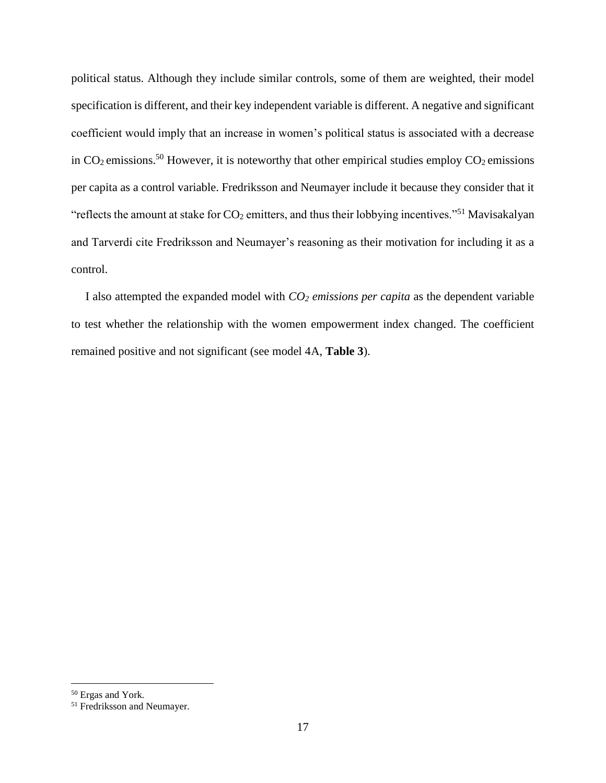political status. Although they include similar controls, some of them are weighted, their model specification is different, and their key independent variable is different. A negative and significant coefficient would imply that an increase in women's political status is associated with a decrease in  $CO_2$  emissions.<sup>50</sup> However, it is noteworthy that other empirical studies employ  $CO_2$  emissions per capita as a control variable. Fredriksson and Neumayer include it because they consider that it "reflects the amount at stake for  $CO_2$  emitters, and thus their lobbying incentives."<sup>51</sup> Mavisakalyan and Tarverdi cite Fredriksson and Neumayer's reasoning as their motivation for including it as a control.

I also attempted the expanded model with *CO<sup>2</sup> emissions per capita* as the dependent variable to test whether the relationship with the women empowerment index changed. The coefficient remained positive and not significant (see model 4A, **Table 3**).

<sup>50</sup> Ergas and York*.*

<sup>51</sup> Fredriksson and Neumayer*.*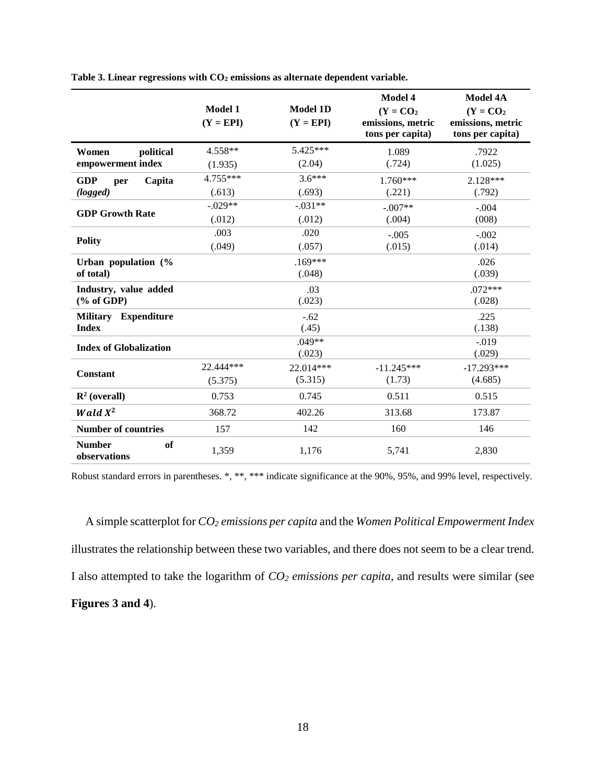|                                     | Model 1<br>$(Y = EPI)$ | <b>Model 1D</b><br>$(Y = EPI)$ | Model 4<br>$(Y = CO2)$<br>emissions, metric<br>tons per capita) | <b>Model 4A</b><br>$(Y = CO2)$<br>emissions, metric<br>tons per capita) |
|-------------------------------------|------------------------|--------------------------------|-----------------------------------------------------------------|-------------------------------------------------------------------------|
| political<br>Women                  | 4.558**                | 5.425***                       | 1.089                                                           | .7922                                                                   |
| empowerment index                   | (1.935)                | (2.04)                         | (.724)                                                          | (1.025)                                                                 |
| <b>GDP</b><br>Capita<br>per         | 4.755***               | $3.6***$                       | 1.760***                                                        | 2.128***                                                                |
| (logged)                            | (.613)                 | (.693)                         | (.221)                                                          | (.792)                                                                  |
|                                     | $-.029**$              | $-.031**$                      | $-.007**$                                                       | $-.004$                                                                 |
| <b>GDP Growth Rate</b>              | (.012)                 | (.012)                         | (.004)                                                          | (008)                                                                   |
|                                     | .003                   | .020                           | $-.005$                                                         | $-.002$                                                                 |
| <b>Polity</b>                       | (.049)                 | (.057)                         | (.015)                                                          | (.014)                                                                  |
| Urban population (%                 |                        | $.169***$                      |                                                                 | .026                                                                    |
| of total)                           |                        | (.048)                         |                                                                 | (.039)                                                                  |
| Industry, value added               |                        | .03                            |                                                                 | $.072***$                                                               |
| $(\%$ of GDP)                       |                        | (.023)                         |                                                                 | (.028)                                                                  |
| <b>Military Expenditure</b>         |                        | $-.62$                         |                                                                 | .225                                                                    |
| <b>Index</b>                        |                        | (.45)                          |                                                                 | (.138)                                                                  |
| <b>Index of Globalization</b>       |                        | $.049**$                       |                                                                 | $-0.019$                                                                |
|                                     |                        | (.023)                         |                                                                 | (.029)                                                                  |
| <b>Constant</b>                     | 22.444***              | 22.014***                      | $-11.245***$                                                    | $-17.293***$                                                            |
|                                     | (5.375)                | (5.315)                        | (1.73)                                                          | (4.685)                                                                 |
| $\mathbb{R}^2$ (overall)            | 0.753                  | 0.745                          | 0.511                                                           | 0.515                                                                   |
| Wald $X^2$                          | 368.72                 | 402.26                         | 313.68                                                          | 173.87                                                                  |
| <b>Number of countries</b>          | 157                    | 142                            | 160                                                             | 146                                                                     |
| <b>Number</b><br>of<br>observations | 1,359                  | 1,176                          | 5,741                                                           | 2,830                                                                   |

<span id="page-22-0"></span>**Table 3. Linear regressions with CO<sup>2</sup> emissions as alternate dependent variable.**

Robust standard errors in parentheses. \*, \*\*, \*\*\* indicate significance at the 90%, 95%, and 99% level, respectively.

A simple scatterplot for *CO<sup>2</sup> emissions per capita* and the *Women Political Empowerment Index* illustrates the relationship between these two variables, and there does not seem to be a clear trend. I also attempted to take the logarithm of *CO<sup>2</sup> emissions per capita*, and results were similar (see **Figures 3 and 4**).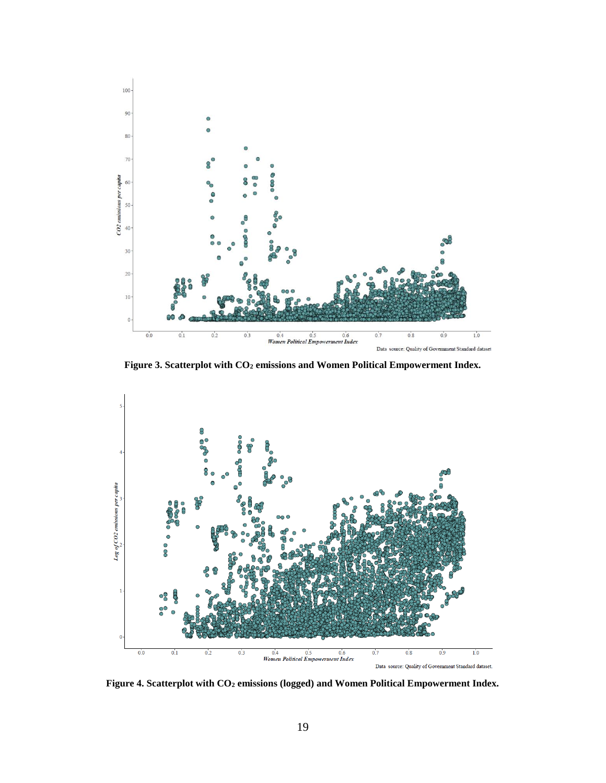

**Figure 3. Scatterplot with CO<sup>2</sup> emissions and Women Political Empowerment Index.**

<span id="page-23-0"></span>

<span id="page-23-1"></span>**Figure 4. Scatterplot with CO<sup>2</sup> emissions (logged) and Women Political Empowerment Index.**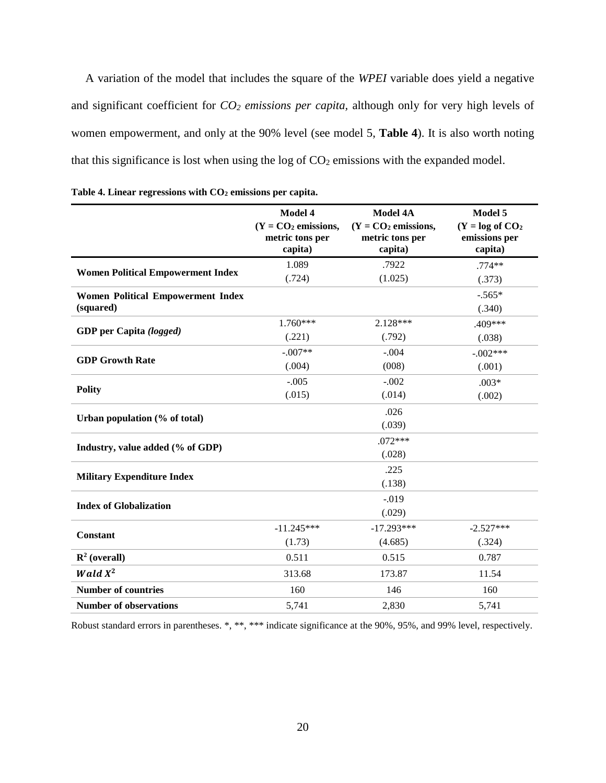A variation of the model that includes the square of the *WPEI* variable does yield a negative and significant coefficient for *CO<sup>2</sup> emissions per capita,* although only for very high levels of women empowerment, and only at the 90% level (see model 5, **Table 4**). It is also worth noting that this significance is lost when using the log of  $CO<sub>2</sub>$  emissions with the expanded model.

|                                          | Model 4<br>$(Y = CO2$ emissions,<br>metric tons per | <b>Model 4A</b><br>$(Y = CO2$ emissions,<br>metric tons per | Model 5<br>$(Y = log of CO2)$<br>emissions per |
|------------------------------------------|-----------------------------------------------------|-------------------------------------------------------------|------------------------------------------------|
|                                          | capita)                                             | capita)                                                     | capita)                                        |
|                                          | 1.089                                               | .7922                                                       | $.774**$                                       |
| <b>Women Political Empowerment Index</b> | (.724)                                              | (1.025)                                                     | (.373)                                         |
| <b>Women Political Empowerment Index</b> |                                                     |                                                             | $-.565*$                                       |
| (squared)                                |                                                     |                                                             | (.340)                                         |
|                                          | 1.760***                                            | 2.128***                                                    | .409***                                        |
| GDP per Capita (logged)                  | (.221)                                              | (.792)                                                      | (.038)                                         |
| <b>GDP Growth Rate</b>                   | $-.007**$                                           | $-.004$                                                     | $-.002***$                                     |
|                                          | (.004)                                              | (008)                                                       | (.001)                                         |
|                                          | $-.005$                                             | $-.002$                                                     | $.003*$                                        |
| <b>Polity</b>                            | (.015)                                              | (.014)                                                      | (.002)                                         |
|                                          |                                                     | .026                                                        |                                                |
| Urban population (% of total)            |                                                     | (.039)                                                      |                                                |
|                                          |                                                     | $.072***$                                                   |                                                |
| Industry, value added (% of GDP)         |                                                     | (.028)                                                      |                                                |
|                                          |                                                     | .225                                                        |                                                |
| <b>Military Expenditure Index</b>        |                                                     | (.138)                                                      |                                                |
| <b>Index of Globalization</b>            |                                                     | $-.019$                                                     |                                                |
|                                          |                                                     | (.029)                                                      |                                                |
| Constant                                 | $-11.245***$                                        | $-17.293***$                                                | $-2.527***$                                    |
|                                          | (1.73)                                              | (4.685)                                                     | (.324)                                         |
| $\mathbb{R}^2$ (overall)                 | 0.511                                               | 0.515                                                       | 0.787                                          |
| <b>Wald</b> $X^2$                        | 313.68                                              | 173.87                                                      | 11.54                                          |
| <b>Number of countries</b>               | 160                                                 | 146                                                         | 160                                            |
| <b>Number of observations</b>            | 5,741                                               | 2,830                                                       | 5,741                                          |

<span id="page-24-0"></span>

| Table 4. Linear regressions with $CO2$ emissions per capita. |  |  |  |  |
|--------------------------------------------------------------|--|--|--|--|
|--------------------------------------------------------------|--|--|--|--|

Robust standard errors in parentheses. \*, \*\*, \*\*\* indicate significance at the 90%, 95%, and 99% level, respectively.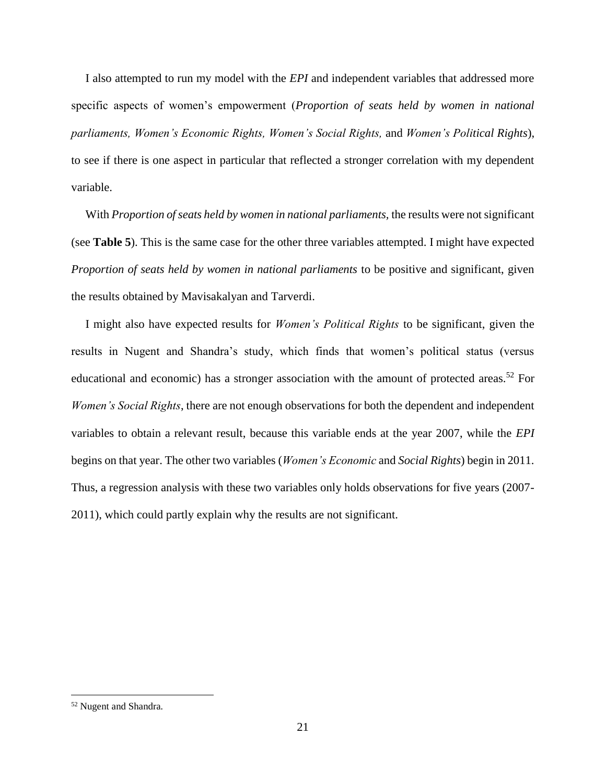I also attempted to run my model with the *EPI* and independent variables that addressed more specific aspects of women's empowerment (*Proportion of seats held by women in national parliaments, Women's Economic Rights, Women's Social Rights,* and *Women's Political Rights*), to see if there is one aspect in particular that reflected a stronger correlation with my dependent variable.

With *Proportion of seats held by women in national parliaments,* the results were not significant (see **Table 5**). This is the same case for the other three variables attempted. I might have expected *Proportion of seats held by women in national parliaments* to be positive and significant, given the results obtained by Mavisakalyan and Tarverdi.

I might also have expected results for *Women's Political Rights* to be significant, given the results in Nugent and Shandra's study, which finds that women's political status (versus educational and economic) has a stronger association with the amount of protected areas.<sup>52</sup> For *Women's Social Rights*, there are not enough observations for both the dependent and independent variables to obtain a relevant result, because this variable ends at the year 2007, while the *EPI*  begins on that year. The other two variables (*Women's Economic* and *Social Rights*) begin in 2011. Thus, a regression analysis with these two variables only holds observations for five years (2007- 2011), which could partly explain why the results are not significant.

<sup>52</sup> Nugent and Shandra*.*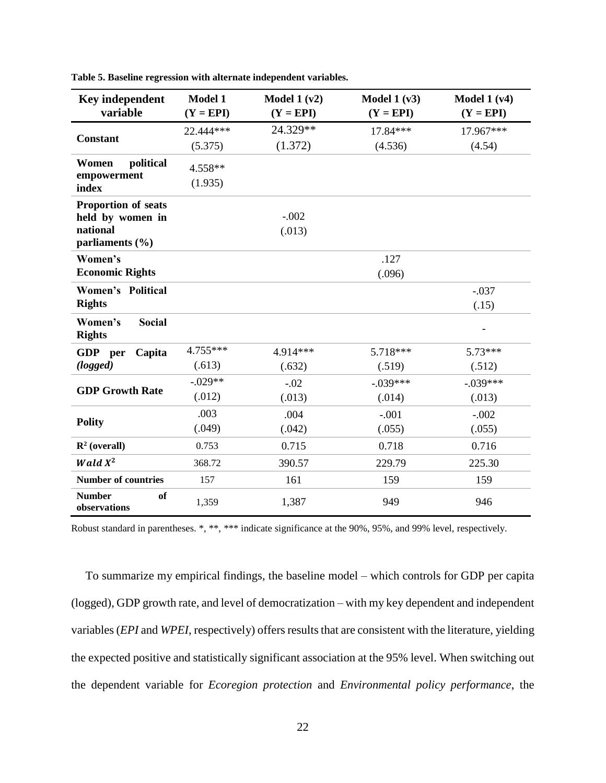| <b>Key independent</b>                    | <b>Model 1</b> | Model $1 (v2)$ | Model $1 (v3)$ | Model $1 (v4)$           |
|-------------------------------------------|----------------|----------------|----------------|--------------------------|
| variable                                  | $(Y = EPI)$    | $(Y = EPI)$    | $(Y = EPI)$    | $(Y = EPI)$              |
|                                           | 22.444***      | 24.329**       | 17.84***       | 17.967***                |
| <b>Constant</b>                           | (5.375)        | (1.372)        | (4.536)        | (4.54)                   |
| political<br>Women<br>empowerment         | 4.558**        |                |                |                          |
| index                                     | (1.935)        |                |                |                          |
| <b>Proportion of seats</b>                |                |                |                |                          |
| held by women in                          |                | $-.002$        |                |                          |
| national<br>parliaments $(\% )$           |                | (.013)         |                |                          |
| Women's                                   |                |                | .127           |                          |
| <b>Economic Rights</b>                    |                |                | (.096)         |                          |
| <b>Women's Political</b>                  |                |                |                | $-.037$                  |
| <b>Rights</b>                             |                |                |                | (.15)                    |
|                                           |                |                |                |                          |
| Women's<br><b>Social</b><br><b>Rights</b> |                |                |                | $\overline{\phantom{0}}$ |
| GDP per<br>Capita                         | 4.755***       | 4.914***       | 5.718***       | $5.73***$                |
| (logged)                                  | (.613)         | (.632)         | (.519)         | (.512)                   |
|                                           | $-.029**$      | $-.02$         | $-.039***$     | $-.039***$               |
| <b>GDP Growth Rate</b>                    | (.012)         | (.013)         | (.014)         | (.013)                   |
|                                           | .003           | .004           | $-.001$        | $-.002$                  |
| <b>Polity</b>                             | (.049)         | (.042)         | (.055)         | (.055)                   |
| $\mathbb{R}^2$ (overall)                  | 0.753          | 0.715          | 0.718          | 0.716                    |
| <b>Wald</b> $X^2$                         | 368.72         | 390.57         | 229.79         | 225.30                   |
| <b>Number of countries</b>                | 157            | 161            | 159            | 159                      |
| <b>Number</b><br>of<br>observations       | 1,359          | 1,387          | 949            | 946                      |

<span id="page-26-0"></span>**Table 5. Baseline regression with alternate independent variables.**

Robust standard in parentheses. \*, \*\*, \*\*\* indicate significance at the 90%, 95%, and 99% level, respectively.

To summarize my empirical findings, the baseline model – which controls for GDP per capita (logged), GDP growth rate, and level of democratization – with my key dependent and independent variables (*EPI* and *WPEI*, respectively) offers results that are consistent with the literature, yielding the expected positive and statistically significant association at the 95% level. When switching out the dependent variable for *Ecoregion protection* and *Environmental policy performance*, the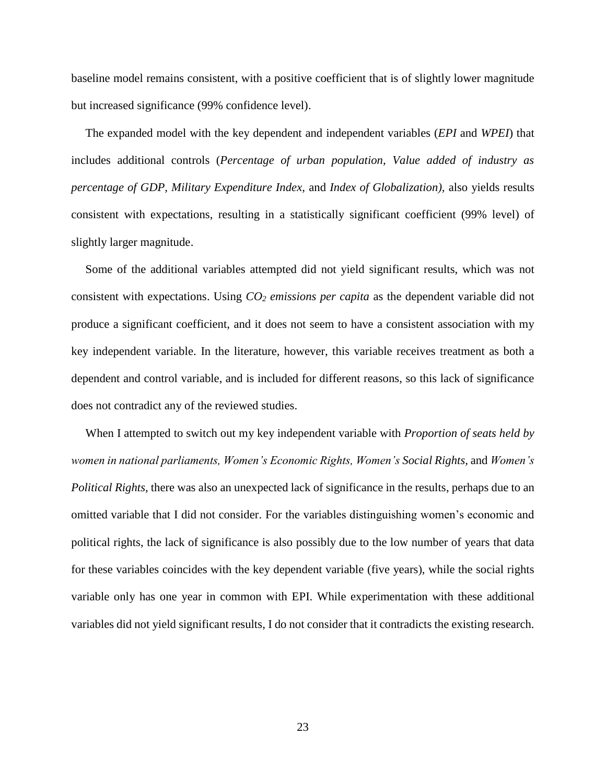baseline model remains consistent, with a positive coefficient that is of slightly lower magnitude but increased significance (99% confidence level).

The expanded model with the key dependent and independent variables (*EPI* and *WPEI*) that includes additional controls (*Percentage of urban population, Value added of industry as percentage of GDP, Military Expenditure Index,* and *Index of Globalization),* also yields results consistent with expectations, resulting in a statistically significant coefficient (99% level) of slightly larger magnitude.

Some of the additional variables attempted did not yield significant results, which was not consistent with expectations. Using *CO<sup>2</sup> emissions per capita* as the dependent variable did not produce a significant coefficient, and it does not seem to have a consistent association with my key independent variable. In the literature, however, this variable receives treatment as both a dependent and control variable, and is included for different reasons, so this lack of significance does not contradict any of the reviewed studies.

When I attempted to switch out my key independent variable with *Proportion of seats held by women in national parliaments, Women's Economic Rights, Women's Social Rights,* and *Women's Political Rights,* there was also an unexpected lack of significance in the results, perhaps due to an omitted variable that I did not consider. For the variables distinguishing women's economic and political rights, the lack of significance is also possibly due to the low number of years that data for these variables coincides with the key dependent variable (five years), while the social rights variable only has one year in common with EPI. While experimentation with these additional variables did not yield significant results, I do not consider that it contradicts the existing research.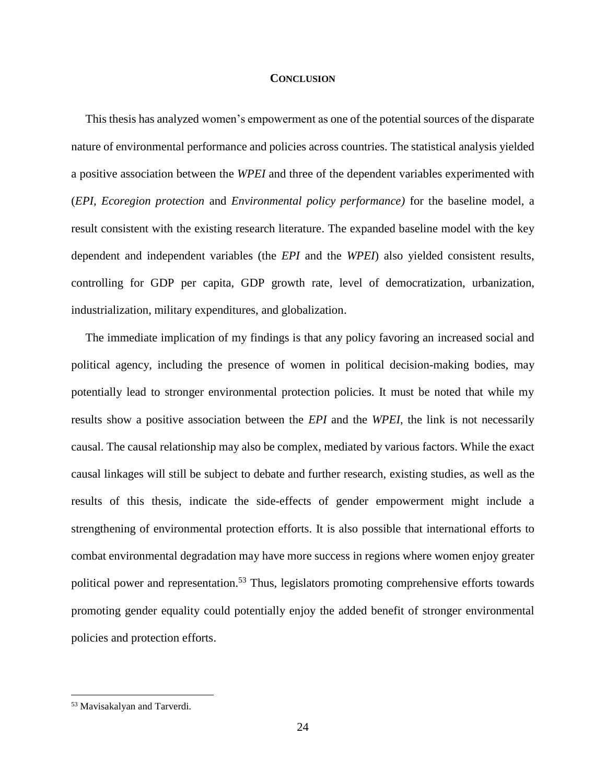#### **CONCLUSION**

<span id="page-28-0"></span>This thesis has analyzed women's empowerment as one of the potential sources of the disparate nature of environmental performance and policies across countries. The statistical analysis yielded a positive association between the *WPEI* and three of the dependent variables experimented with (*EPI, Ecoregion protection* and *Environmental policy performance)* for the baseline model, a result consistent with the existing research literature. The expanded baseline model with the key dependent and independent variables (the *EPI* and the *WPEI*) also yielded consistent results, controlling for GDP per capita, GDP growth rate, level of democratization, urbanization, industrialization, military expenditures, and globalization.

The immediate implication of my findings is that any policy favoring an increased social and political agency, including the presence of women in political decision-making bodies, may potentially lead to stronger environmental protection policies. It must be noted that while my results show a positive association between the *EPI* and the *WPEI*, the link is not necessarily causal. The causal relationship may also be complex, mediated by various factors. While the exact causal linkages will still be subject to debate and further research, existing studies, as well as the results of this thesis, indicate the side-effects of gender empowerment might include a strengthening of environmental protection efforts. It is also possible that international efforts to combat environmental degradation may have more success in regions where women enjoy greater political power and representation.<sup>53</sup> Thus, legislators promoting comprehensive efforts towards promoting gender equality could potentially enjoy the added benefit of stronger environmental policies and protection efforts.

<sup>53</sup> Mavisakalyan and Tarverdi*.*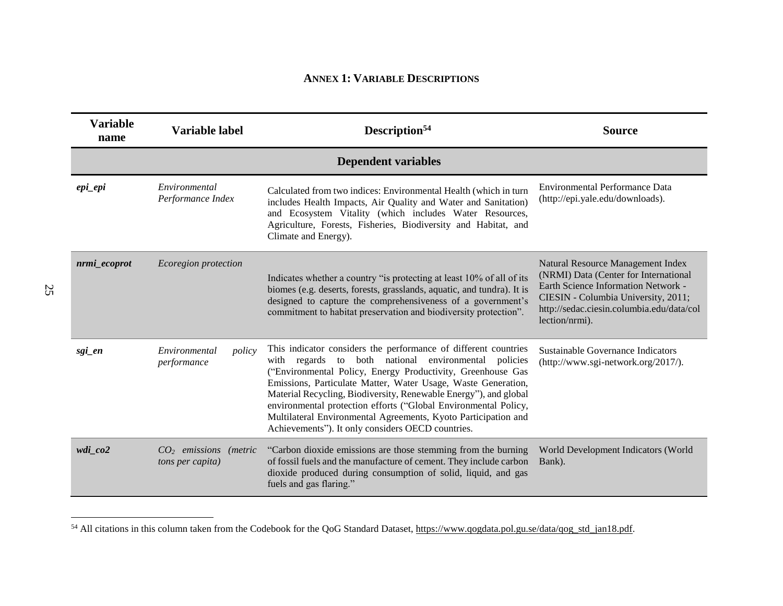# **ANNEX 1: VARIABLE DESCRIPTIONS**

<span id="page-29-0"></span>

| <b>Variable</b><br>name | Variable label                                      | Description <sup>54</sup>                                                                                                                                                                                                                                                                                                                                                                                                                                                                                                | <b>Source</b>                                                                                                                                                                                                                  |
|-------------------------|-----------------------------------------------------|--------------------------------------------------------------------------------------------------------------------------------------------------------------------------------------------------------------------------------------------------------------------------------------------------------------------------------------------------------------------------------------------------------------------------------------------------------------------------------------------------------------------------|--------------------------------------------------------------------------------------------------------------------------------------------------------------------------------------------------------------------------------|
|                         |                                                     | <b>Dependent variables</b>                                                                                                                                                                                                                                                                                                                                                                                                                                                                                               |                                                                                                                                                                                                                                |
| epi_epi                 | Environmental<br>Performance Index                  | Calculated from two indices: Environmental Health (which in turn<br>includes Health Impacts, Air Quality and Water and Sanitation)<br>and Ecosystem Vitality (which includes Water Resources,<br>Agriculture, Forests, Fisheries, Biodiversity and Habitat, and<br>Climate and Energy).                                                                                                                                                                                                                                  | <b>Environmental Performance Data</b><br>(http://epi.yale.edu/downloads).                                                                                                                                                      |
| nrmi_ecoprot            | Ecoregion protection                                | Indicates whether a country "is protecting at least 10% of all of its<br>biomes (e.g. deserts, forests, grasslands, aquatic, and tundra). It is<br>designed to capture the comprehensiveness of a government's<br>commitment to habitat preservation and biodiversity protection".                                                                                                                                                                                                                                       | Natural Resource Management Index<br>(NRMI) Data (Center for International<br><b>Earth Science Information Network -</b><br>CIESIN - Columbia University, 2011;<br>http://sedac.ciesin.columbia.edu/data/col<br>lection/nrmi). |
| sgi_en                  | Environmental<br>policy<br>performance              | This indicator considers the performance of different countries<br>national environmental policies<br>with regards to both<br>("Environmental Policy, Energy Productivity, Greenhouse Gas<br>Emissions, Particulate Matter, Water Usage, Waste Generation,<br>Material Recycling, Biodiversity, Renewable Energy"), and global<br>environmental protection efforts ("Global Environmental Policy,<br>Multilateral Environmental Agreements, Kyoto Participation and<br>Achievements"). It only considers OECD countries. | Sustainable Governance Indicators<br>(http://www.sgi-network.org/2017/).                                                                                                                                                       |
| $wdi\_{co2}$            | $CO2$ emissions (metric<br><i>tons per capita</i> ) | "Carbon dioxide emissions are those stemming from the burning<br>of fossil fuels and the manufacture of cement. They include carbon<br>dioxide produced during consumption of solid, liquid, and gas<br>fuels and gas flaring."                                                                                                                                                                                                                                                                                          | World Development Indicators (World<br>Bank).                                                                                                                                                                                  |

<sup>&</sup>lt;sup>54</sup> All citations in this column taken from the Codebook for the QoG Standard Dataset,  $\frac{https://www.qogdata-pol.gu.se/data/qog-std-jan18.pdf}{https://www.qogdata-pol.gu.se/data/qog-std-jan18.pdf}$ .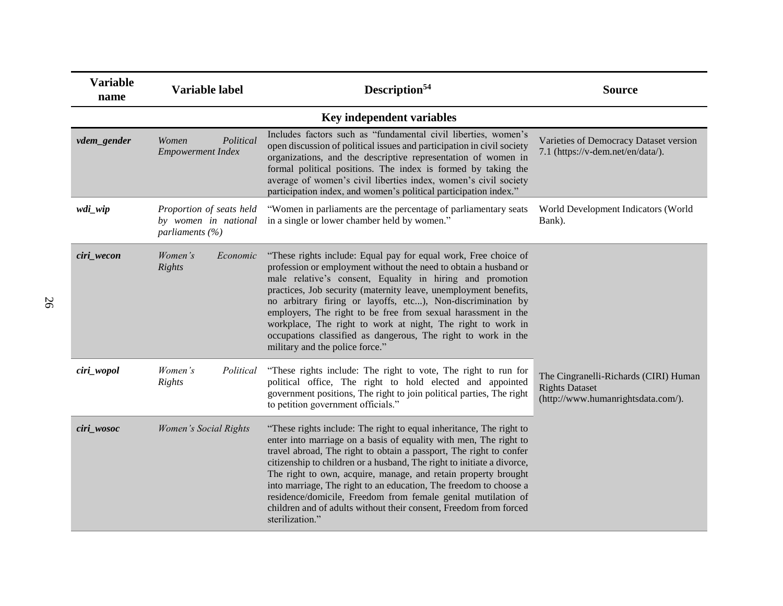| <b>Variable</b><br>name             | <b>Variable label</b>                                                   | Description <sup>54</sup>                                                                                                                                                                                                                                                                                                                                                                                                                                                                                                                                                                | <b>Source</b>                                                                                        |
|-------------------------------------|-------------------------------------------------------------------------|------------------------------------------------------------------------------------------------------------------------------------------------------------------------------------------------------------------------------------------------------------------------------------------------------------------------------------------------------------------------------------------------------------------------------------------------------------------------------------------------------------------------------------------------------------------------------------------|------------------------------------------------------------------------------------------------------|
|                                     |                                                                         | Key independent variables                                                                                                                                                                                                                                                                                                                                                                                                                                                                                                                                                                |                                                                                                      |
| vdem_gender                         | Political<br>Women<br><b>Empowerment Index</b>                          | Includes factors such as "fundamental civil liberties, women's<br>open discussion of political issues and participation in civil society<br>organizations, and the descriptive representation of women in<br>formal political positions. The index is formed by taking the<br>average of women's civil liberties index, women's civil society<br>participation index, and women's political participation index."                                                                                                                                                                        | Varieties of Democracy Dataset version<br>7.1 (https://v-dem.net/en/data/).                          |
| wdi_wip                             | Proportion of seats held<br>by women in national<br>parliaments $(\% )$ | "Women in parliaments are the percentage of parliamentary seats<br>in a single or lower chamber held by women."                                                                                                                                                                                                                                                                                                                                                                                                                                                                          | World Development Indicators (World<br>Bank).                                                        |
| ciri_wecon                          | Women's<br>Economic<br>Rights                                           | "These rights include: Equal pay for equal work, Free choice of<br>profession or employment without the need to obtain a husband or<br>male relative's consent, Equality in hiring and promotion<br>practices, Job security (maternity leave, unemployment benefits,<br>no arbitrary firing or layoffs, etc), Non-discrimination by<br>employers, The right to be free from sexual harassment in the<br>workplace, The right to work at night, The right to work in<br>occupations classified as dangerous, The right to work in the<br>military and the police force."                  |                                                                                                      |
| ciri_wopol                          | Political<br>Women's<br>Rights                                          | "These rights include: The right to vote, The right to run for<br>political office, The right to hold elected and appointed<br>government positions, The right to join political parties, The right<br>to petition government officials."                                                                                                                                                                                                                                                                                                                                                | The Cingranelli-Richards (CIRI) Human<br><b>Rights Dataset</b><br>(http://www.humanrightsdata.com/). |
| ciri_wosoc<br>Women's Social Rights |                                                                         | "These rights include: The right to equal inheritance, The right to<br>enter into marriage on a basis of equality with men, The right to<br>travel abroad, The right to obtain a passport, The right to confer<br>citizenship to children or a husband, The right to initiate a divorce,<br>The right to own, acquire, manage, and retain property brought<br>into marriage, The right to an education, The freedom to choose a<br>residence/domicile, Freedom from female genital mutilation of<br>children and of adults without their consent, Freedom from forced<br>sterilization." |                                                                                                      |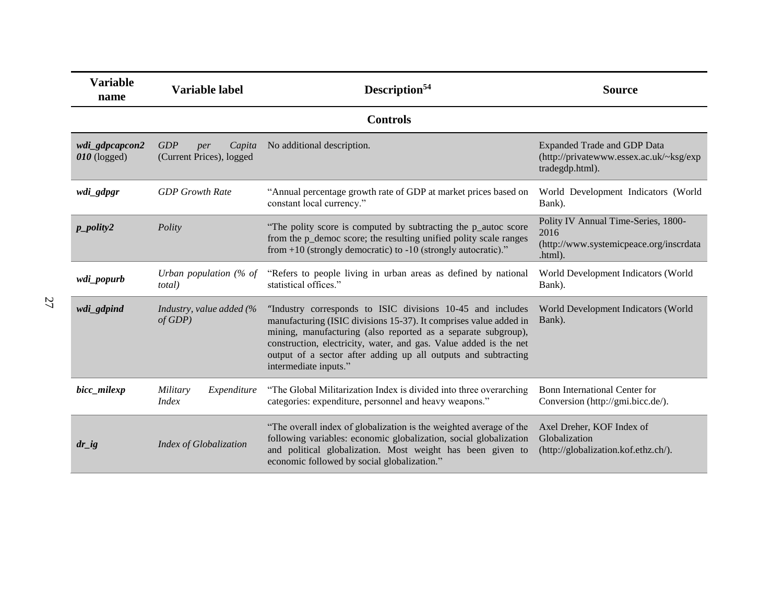| <b>Variable</b><br>name          | Variable label                                   | Description <sup>54</sup>                                                                                                                                                                                                                                                                                                                                        | <b>Source</b>                                                                                     |  |
|----------------------------------|--------------------------------------------------|------------------------------------------------------------------------------------------------------------------------------------------------------------------------------------------------------------------------------------------------------------------------------------------------------------------------------------------------------------------|---------------------------------------------------------------------------------------------------|--|
|                                  |                                                  | <b>Controls</b>                                                                                                                                                                                                                                                                                                                                                  |                                                                                                   |  |
| wdi_gdpcapcon2<br>$010$ (logged) | GDP<br>Capita<br>per<br>(Current Prices), logged | No additional description.                                                                                                                                                                                                                                                                                                                                       | <b>Expanded Trade and GDP Data</b><br>(http://privatewww.essex.ac.uk/~ksg/exp<br>tradegdp.html).  |  |
| wdi_gdpgr                        | <b>GDP</b> Growth Rate                           | "Annual percentage growth rate of GDP at market prices based on<br>constant local currency."                                                                                                                                                                                                                                                                     | World Development Indicators (World<br>Bank).                                                     |  |
| $p\_polity2$                     | Polity                                           | "The polity score is computed by subtracting the p_autoc score<br>from the p_democ score; the resulting unified polity scale ranges<br>from $+10$ (strongly democratic) to $-10$ (strongly autocratic)."                                                                                                                                                         | Polity IV Annual Time-Series, 1800-<br>2016<br>(http://www.systemicpeace.org/inscrdata<br>.html). |  |
| wdi_popurb                       | Urban population $%$ of<br><i>total</i> )        | "Refers to people living in urban areas as defined by national<br>statistical offices."                                                                                                                                                                                                                                                                          | World Development Indicators (World<br>Bank).                                                     |  |
| wdi_gdpind                       | Industry, value added (%<br>of GDP               | "Industry corresponds to ISIC divisions 10-45 and includes<br>manufacturing (ISIC divisions 15-37). It comprises value added in<br>mining, manufacturing (also reported as a separate subgroup),<br>construction, electricity, water, and gas. Value added is the net<br>output of a sector after adding up all outputs and subtracting<br>intermediate inputs." | World Development Indicators (World<br>Bank).                                                     |  |
| bicc_milexp                      | Military<br>Expenditure<br><i>Index</i>          | "The Global Militarization Index is divided into three overarching<br>categories: expenditure, personnel and heavy weapons."                                                                                                                                                                                                                                     | Bonn International Center for<br>Conversion (http://gmi.bicc.de/).                                |  |
| $dr\_{ig}$                       | <b>Index of Globalization</b>                    | "The overall index of globalization is the weighted average of the<br>following variables: economic globalization, social globalization<br>and political globalization. Most weight has been given to<br>economic followed by social globalization."                                                                                                             | Axel Dreher, KOF Index of<br>Globalization<br>(http://globalization.kof.ethz.ch/).                |  |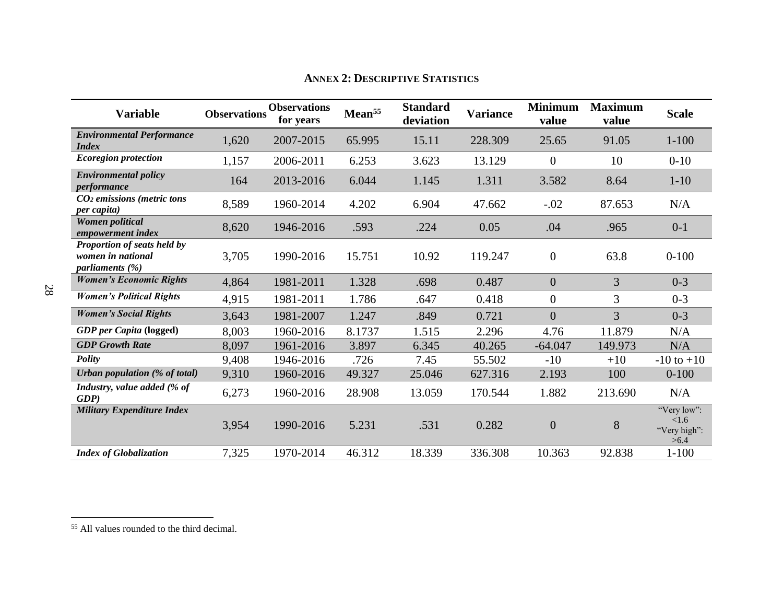<span id="page-32-0"></span>

| <b>Variable</b>                                                         | <b>Observations</b> | <b>Observations</b><br>for years | Mean <sup>55</sup> | <b>Standard</b><br>deviation | <b>Variance</b> | <b>Minimum</b><br>value | <b>Maximum</b><br>value | <b>Scale</b>                                |
|-------------------------------------------------------------------------|---------------------|----------------------------------|--------------------|------------------------------|-----------------|-------------------------|-------------------------|---------------------------------------------|
| <b>Environmental Performance</b><br><i>Index</i>                        | 1,620               | 2007-2015                        | 65.995             | 15.11                        | 228.309         | 25.65                   | 91.05                   | $1 - 100$                                   |
| <b>Ecoregion protection</b>                                             | 1,157               | 2006-2011                        | 6.253              | 3.623                        | 13.129          | $\overline{0}$          | 10                      | $0 - 10$                                    |
| <b>Environmental policy</b><br>performance                              | 164                 | 2013-2016                        | 6.044              | 1.145                        | 1.311           | 3.582                   | 8.64                    | $1 - 10$                                    |
| $CO2$ emissions (metric tons<br><i>per capita</i> )                     | 8,589               | 1960-2014                        | 4.202              | 6.904                        | 47.662          | $-.02$                  | 87.653                  | N/A                                         |
| Women political<br>empowerment index                                    | 8,620               | 1946-2016                        | .593               | .224                         | 0.05            | .04                     | .965                    | $0 - 1$                                     |
| Proportion of seats held by<br>women in national<br>parliaments $(\% )$ | 3,705               | 1990-2016                        | 15.751             | 10.92                        | 119.247         | $\overline{0}$          | 63.8                    | $0 - 100$                                   |
| <b>Women's Economic Rights</b>                                          | 4,864               | 1981-2011                        | 1.328              | .698                         | 0.487           | $\boldsymbol{0}$        | 3                       | $0 - 3$                                     |
| <b>Women's Political Rights</b>                                         | 4,915               | 1981-2011                        | 1.786              | .647                         | 0.418           | $\boldsymbol{0}$        | 3                       | $0 - 3$                                     |
| <b>Women's Social Rights</b>                                            | 3,643               | 1981-2007                        | 1.247              | .849                         | 0.721           | $\overline{0}$          | 3                       | $0 - 3$                                     |
| <b>GDP</b> per Capita (logged)                                          | 8,003               | 1960-2016                        | 8.1737             | 1.515                        | 2.296           | 4.76                    | 11.879                  | N/A                                         |
| <b>GDP</b> Growth Rate                                                  | 8,097               | 1961-2016                        | 3.897              | 6.345                        | 40.265          | $-64.047$               | 149.973                 | N/A                                         |
| <b>Polity</b>                                                           | 9,408               | 1946-2016                        | .726               | 7.45                         | 55.502          | $-10$                   | $+10$                   | $-10$ to $+10$                              |
| Urban population (% of total)                                           | 9,310               | 1960-2016                        | 49.327             | 25.046                       | 627.316         | 2.193                   | 100                     | $0 - 100$                                   |
| Industry, value added (% of<br>GDP                                      | 6,273               | 1960-2016                        | 28.908             | 13.059                       | 170.544         | 1.882                   | 213.690                 | N/A                                         |
| <b>Military Expenditure Index</b>                                       | 3,954               | 1990-2016                        | 5.231              | .531                         | 0.282           | $\boldsymbol{0}$        | 8                       | "Very low":<br><1.6<br>"Very high":<br>>6.4 |
| <b>Index of Globalization</b>                                           | 7,325               | 1970-2014                        | 46.312             | 18.339                       | 336.308         | 10.363                  | 92.838                  | $1 - 100$                                   |

# **ANNEX 2: DESCRIPTIVE STATISTICS**

<sup>55</sup> All values rounded to the third decimal.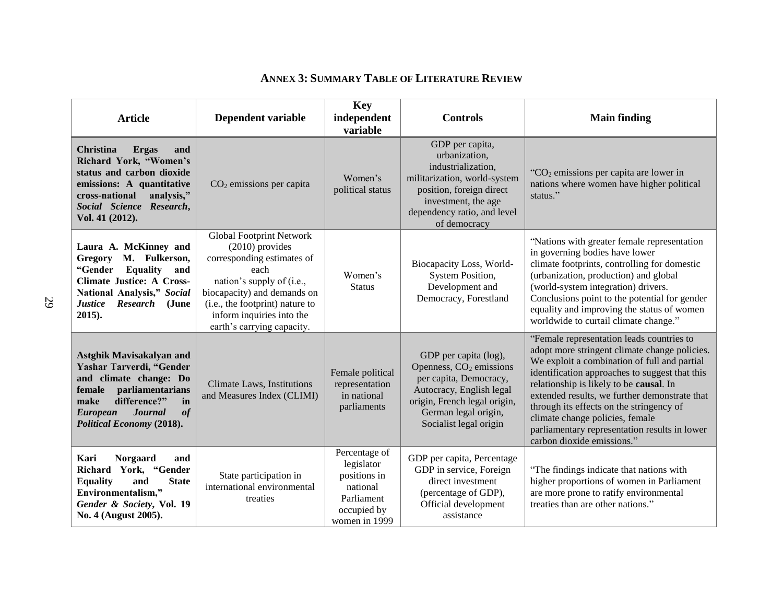| <b>Article</b>                                                                                                                                                                                                                   | Dependent variable                                                                                                                                                                                                                            | Key<br>independent<br><b>Controls</b><br>variable                                                     |                                                                                                                                                                                                      | <b>Main finding</b>                                                                                                                                                                                                                                                                                                                                                                                                                                    |  |  |
|----------------------------------------------------------------------------------------------------------------------------------------------------------------------------------------------------------------------------------|-----------------------------------------------------------------------------------------------------------------------------------------------------------------------------------------------------------------------------------------------|-------------------------------------------------------------------------------------------------------|------------------------------------------------------------------------------------------------------------------------------------------------------------------------------------------------------|--------------------------------------------------------------------------------------------------------------------------------------------------------------------------------------------------------------------------------------------------------------------------------------------------------------------------------------------------------------------------------------------------------------------------------------------------------|--|--|
| <b>Christina</b><br><b>Ergas</b><br>and<br>Richard York, "Women's<br>status and carbon dioxide<br>emissions: A quantitative<br>cross-national<br>analysis,"<br>Social Science Research,<br>Vol. 41 (2012).                       | $CO2$ emissions per capita                                                                                                                                                                                                                    | Women's<br>political status                                                                           | GDP per capita,<br>urbanization,<br>industrialization,<br>militarization, world-system<br>position, foreign direct<br>investment, the age<br>dependency ratio, and level<br>of democracy             | " $CO2$ emissions per capita are lower in<br>nations where women have higher political<br>status."                                                                                                                                                                                                                                                                                                                                                     |  |  |
| Laura A. McKinney and<br>M. Fulkerson,<br><b>Gregory</b><br><b>Equality</b><br>"Gender<br>and<br><b>Climate Justice: A Cross-</b><br>National Analysis," Social<br><b>Justice</b><br><b>Research</b><br>(June<br>$2015$ ).       | Global Footprint Network<br>$(2010)$ provides<br>corresponding estimates of<br>each<br>nation's supply of (i.e.,<br>biocapacity) and demands on<br>(i.e., the footprint) nature to<br>inform inquiries into the<br>earth's carrying capacity. | Women's<br><b>Status</b>                                                                              | Biocapacity Loss, World-<br><b>System Position,</b><br>Development and<br>Democracy, Forestland                                                                                                      | "Nations with greater female representation<br>in governing bodies have lower<br>climate footprints, controlling for domestic<br>(urbanization, production) and global<br>(world-system integration) drivers.<br>Conclusions point to the potential for gender<br>equality and improving the status of women<br>worldwide to curtail climate change."                                                                                                  |  |  |
| <b>Astghik Mavisakalyan and</b><br>Yashar Tarverdi, "Gender<br>and climate change: Do<br>female<br>parliamentarians<br>difference?"<br>make<br>in<br>of<br><b>Journal</b><br><b>European</b><br><b>Political Economy (2018).</b> | <b>Climate Laws</b> , Institutions<br>and Measures Index (CLIMI)                                                                                                                                                                              | Female political<br>representation<br>in national<br>parliaments                                      | GDP per capita (log),<br>Openness, CO <sub>2</sub> emissions<br>per capita, Democracy,<br>Autocracy, English legal<br>origin, French legal origin,<br>German legal origin,<br>Socialist legal origin | "Female representation leads countries to<br>adopt more stringent climate change policies.<br>We exploit a combination of full and partial<br>identification approaches to suggest that this<br>relationship is likely to be causal. In<br>extended results, we further demonstrate that<br>through its effects on the stringency of<br>climate change policies, female<br>parliamentary representation results in lower<br>carbon dioxide emissions." |  |  |
| Kari<br><b>Norgaard</b><br>and<br>Richard York, "Gender<br><b>State</b><br><b>Equality</b><br>and<br>Environmentalism,"<br>Gender & Society, Vol. 19<br>No. 4 (August 2005).                                                     | State participation in<br>international environmental<br>treaties                                                                                                                                                                             | Percentage of<br>legislator<br>positions in<br>national<br>Parliament<br>occupied by<br>women in 1999 | GDP per capita, Percentage<br>GDP in service, Foreign<br>direct investment<br>(percentage of GDP),<br>Official development<br>assistance                                                             | "The findings indicate that nations with<br>higher proportions of women in Parliament<br>are more prone to ratify environmental<br>treaties than are other nations."                                                                                                                                                                                                                                                                                   |  |  |

# **ANNEX 3: SUMMARY TABLE OF LITERATURE REVIEW**

<span id="page-33-0"></span>29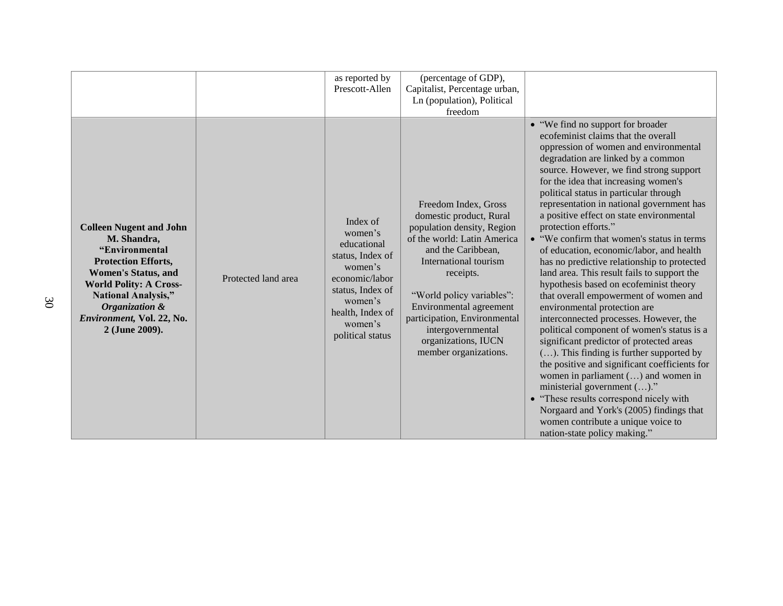|                                                                                                                                                                                                                                                             |                     | as reported by<br>Prescott-Allen                                                                                                                                      | (percentage of GDP),<br>Capitalist, Percentage urban,                                                                                                                                                                                                                                                                                 |                                                                                                                                                                                                                                                                                                                                                                                                                                                                                                                                                                                                                                                                                                                                                                                                                                                                                                                                                                                                                                                                                                                                                                                          |
|-------------------------------------------------------------------------------------------------------------------------------------------------------------------------------------------------------------------------------------------------------------|---------------------|-----------------------------------------------------------------------------------------------------------------------------------------------------------------------|---------------------------------------------------------------------------------------------------------------------------------------------------------------------------------------------------------------------------------------------------------------------------------------------------------------------------------------|------------------------------------------------------------------------------------------------------------------------------------------------------------------------------------------------------------------------------------------------------------------------------------------------------------------------------------------------------------------------------------------------------------------------------------------------------------------------------------------------------------------------------------------------------------------------------------------------------------------------------------------------------------------------------------------------------------------------------------------------------------------------------------------------------------------------------------------------------------------------------------------------------------------------------------------------------------------------------------------------------------------------------------------------------------------------------------------------------------------------------------------------------------------------------------------|
|                                                                                                                                                                                                                                                             |                     |                                                                                                                                                                       | Ln (population), Political                                                                                                                                                                                                                                                                                                            |                                                                                                                                                                                                                                                                                                                                                                                                                                                                                                                                                                                                                                                                                                                                                                                                                                                                                                                                                                                                                                                                                                                                                                                          |
|                                                                                                                                                                                                                                                             |                     |                                                                                                                                                                       | freedom                                                                                                                                                                                                                                                                                                                               |                                                                                                                                                                                                                                                                                                                                                                                                                                                                                                                                                                                                                                                                                                                                                                                                                                                                                                                                                                                                                                                                                                                                                                                          |
|                                                                                                                                                                                                                                                             |                     |                                                                                                                                                                       |                                                                                                                                                                                                                                                                                                                                       |                                                                                                                                                                                                                                                                                                                                                                                                                                                                                                                                                                                                                                                                                                                                                                                                                                                                                                                                                                                                                                                                                                                                                                                          |
| <b>Colleen Nugent and John</b><br>M. Shandra,<br>"Environmental<br><b>Protection Efforts,</b><br><b>Women's Status, and</b><br><b>World Polity: A Cross-</b><br><b>National Analysis,"</b><br>Organization &<br>Environment, Vol. 22, No.<br>2 (June 2009). | Protected land area | Index of<br>women's<br>educational<br>status, Index of<br>women's<br>economic/labor<br>status, Index of<br>women's<br>health, Index of<br>women's<br>political status | Freedom Index, Gross<br>domestic product, Rural<br>population density, Region<br>of the world: Latin America<br>and the Caribbean,<br>International tourism<br>receipts.<br>"World policy variables":<br>Environmental agreement<br>participation, Environmental<br>intergovernmental<br>organizations, IUCN<br>member organizations. | • "We find no support for broader"<br>ecofeminist claims that the overall<br>oppression of women and environmental<br>degradation are linked by a common<br>source. However, we find strong support<br>for the idea that increasing women's<br>political status in particular through<br>representation in national government has<br>a positive effect on state environmental<br>protection efforts."<br>• "We confirm that women's status in terms<br>of education, economic/labor, and health<br>has no predictive relationship to protected<br>land area. This result fails to support the<br>hypothesis based on ecofeminist theory<br>that overall empowerment of women and<br>environmental protection are<br>interconnected processes. However, the<br>political component of women's status is a<br>significant predictor of protected areas<br>$()$ . This finding is further supported by<br>the positive and significant coefficients for<br>women in parliament () and women in<br>ministerial government ()."<br>• "These results correspond nicely with<br>Norgaard and York's (2005) findings that<br>women contribute a unique voice to<br>nation-state policy making." |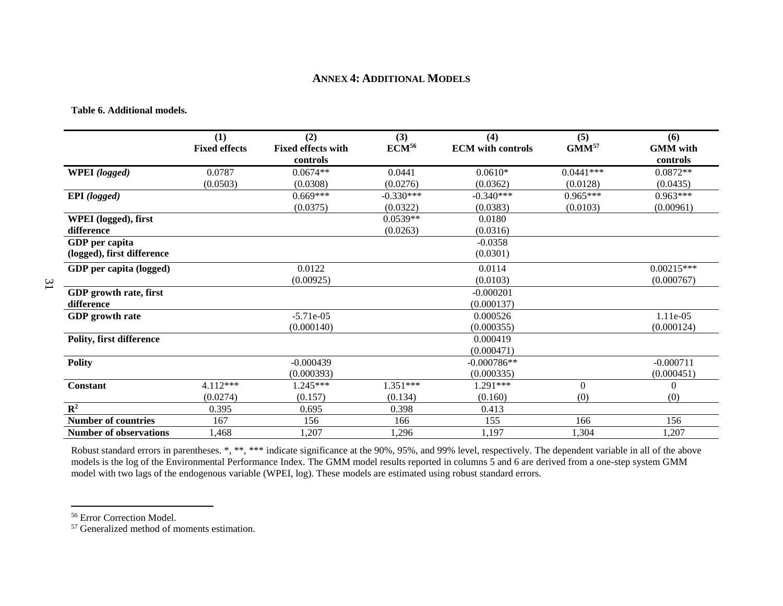### **ANNEX 4: ADDITIONAL MODELS**

**Table 6. Additional models.**

<span id="page-35-1"></span><span id="page-35-0"></span>31

|                                 | (1)                  | (2)                                   | (3)               | (4)                      | (5)               | (6)                         |
|---------------------------------|----------------------|---------------------------------------|-------------------|--------------------------|-------------------|-----------------------------|
|                                 | <b>Fixed effects</b> | <b>Fixed effects with</b><br>controls | ECM <sup>56</sup> | <b>ECM</b> with controls | GMM <sup>57</sup> | <b>GMM</b> with<br>controls |
|                                 |                      |                                       |                   |                          |                   |                             |
| WPEI (logged)                   | 0.0787               | $0.0674**$                            | 0.0441            | $0.0610*$                | $0.0441***$       | $0.0872**$                  |
|                                 | (0.0503)             | (0.0308)                              | (0.0276)          | (0.0362)                 | (0.0128)          | (0.0435)                    |
| <b>EPI</b> (logged)             |                      | $0.669***$                            | $-0.330***$       | $-0.340***$              | $0.965***$        | $0.963***$                  |
|                                 |                      | (0.0375)                              | (0.0322)          | (0.0383)                 | (0.0103)          | (0.00961)                   |
| WPEI (logged), first            |                      |                                       | $0.0539**$        | 0.0180                   |                   |                             |
| difference                      |                      |                                       | (0.0263)          | (0.0316)                 |                   |                             |
| GDP per capita                  |                      |                                       |                   | $-0.0358$                |                   |                             |
| (logged), first difference      |                      |                                       |                   | (0.0301)                 |                   |                             |
| GDP per capita (logged)         |                      | 0.0122                                |                   | 0.0114                   |                   | $0.00215***$                |
|                                 |                      | (0.00925)                             |                   | (0.0103)                 |                   | (0.000767)                  |
| GDP growth rate, first          |                      |                                       |                   | $-0.000201$              |                   |                             |
| difference                      |                      |                                       |                   | (0.000137)               |                   |                             |
| <b>GDP</b> growth rate          |                      | $-5.71e-05$                           |                   | 0.000526                 |                   | 1.11e-05                    |
|                                 |                      | (0.000140)                            |                   | (0.000355)               |                   | (0.000124)                  |
| <b>Polity, first difference</b> |                      |                                       |                   | 0.000419                 |                   |                             |
|                                 |                      |                                       |                   | (0.000471)               |                   |                             |
| <b>Polity</b>                   |                      | $-0.000439$                           |                   | $-0.000786**$            |                   | $-0.000711$                 |
|                                 |                      | (0.000393)                            |                   | (0.000335)               |                   | (0.000451)                  |
| <b>Constant</b>                 | 4.112***             | $1.245***$                            | 1.351***          | $1.291***$               | $\boldsymbol{0}$  | $\theta$                    |
|                                 | (0.0274)             | (0.157)                               | (0.134)           | (0.160)                  | (0)               | (0)                         |
| $\mathbb{R}^2$                  | 0.395                | 0.695                                 | 0.398             | 0.413                    |                   |                             |
| <b>Number of countries</b>      | 167                  | 156                                   | 166               | 155                      | 166               | 156                         |
| <b>Number of observations</b>   | 1,468                | 1,207                                 | 1,296             | 1,197                    | 1,304             | 1,207                       |

Robust standard errors in parentheses. \*, \*\*\* indicate significance at the 90%, 95%, and 99% level, respectively. The dependent variable in all of the above models is the log of the Environmental Performance Index. The GMM model results reported in columns 5 and 6 are derived from a one-step system GMM model with two lags of the endogenous variable (WPEI, log). These models are estimated using robust standard errors.

<sup>56</sup> Error Correction Model.

<sup>&</sup>lt;sup>57</sup> Generalized method of moments estimation.